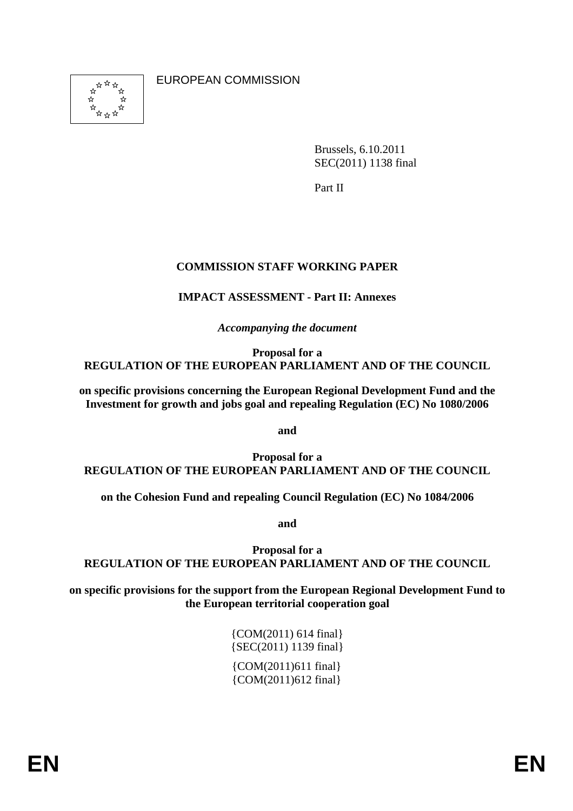่\*  $\vec{\lambda}$  $\vec{\varkappa}$ ង<br>ជំ<sub>ជំង</sub>ជ ☆

EUROPEAN COMMISSION

Brussels, 6.10.2011 SEC(2011) 1138 final

Part II

# **COMMISSION STAFF WORKING PAPER**

# **IMPACT ASSESSMENT - Part II: Annexes**

*Accompanying the document* 

**Proposal for a REGULATION OF THE EUROPEAN PARLIAMENT AND OF THE COUNCIL** 

**on specific provisions concerning the European Regional Development Fund and the Investment for growth and jobs goal and repealing Regulation (EC) No 1080/2006** 

**and** 

**Proposal for a REGULATION OF THE EUROPEAN PARLIAMENT AND OF THE COUNCIL** 

**on the Cohesion Fund and repealing Council Regulation (EC) No 1084/2006** 

**and** 

**Proposal for a REGULATION OF THE EUROPEAN PARLIAMENT AND OF THE COUNCIL** 

**on specific provisions for the support from the European Regional Development Fund to the European territorial cooperation goal** 

> {COM(2011) 614 final} {SEC(2011) 1139 final} {COM(2011)611 final} {COM(2011)612 final}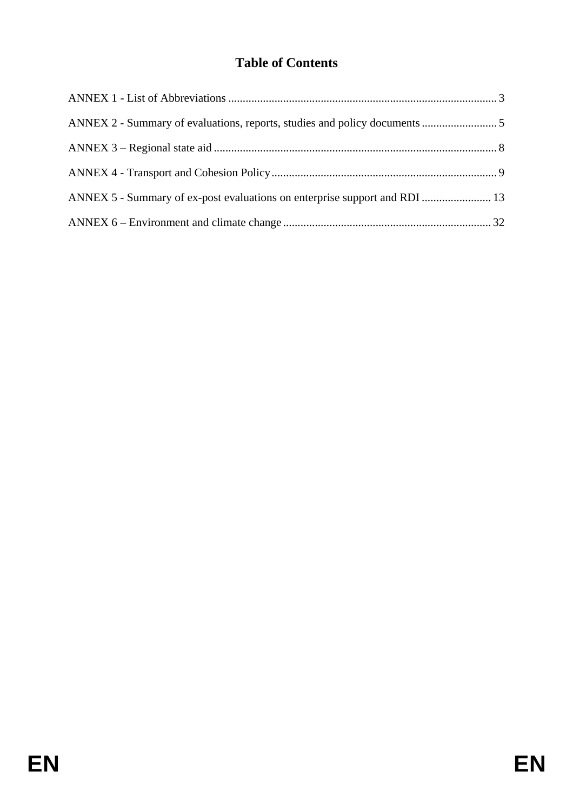# **Table of Contents**

| ANNEX 5 - Summary of ex-post evaluations on enterprise support and RDI  13 |  |
|----------------------------------------------------------------------------|--|
|                                                                            |  |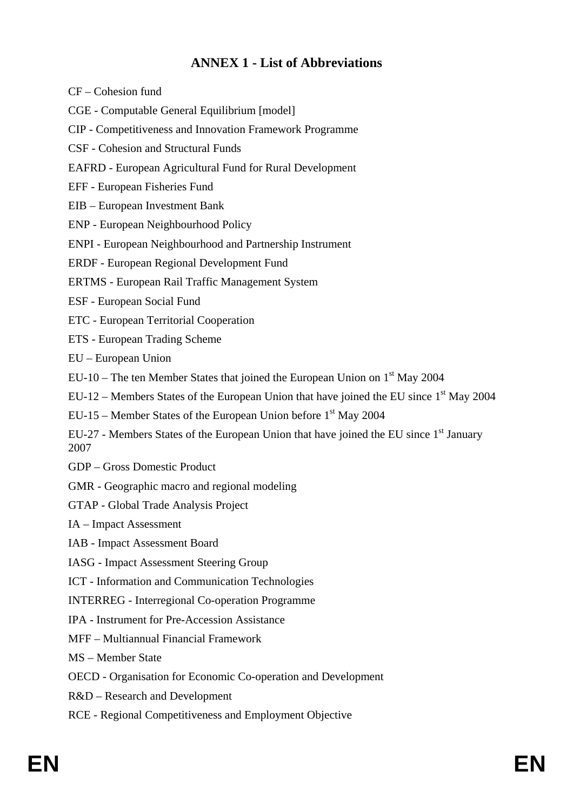# **ANNEX 1 - List of Abbreviations**

- <span id="page-2-0"></span>CF – Cohesion fund
- CGE Computable General Equilibrium [model]
- CIP Competitiveness and Innovation Framework Programme
- CSF Cohesion and Structural Funds
- EAFRD European Agricultural Fund for Rural Development
- EFF European Fisheries Fund
- EIB European Investment Bank
- ENP European Neighbourhood Policy
- ENPI European Neighbourhood and Partnership Instrument
- ERDF European Regional Development Fund
- ERTMS European Rail Traffic Management System
- ESF European Social Fund
- ETC European Territorial Cooperation
- ETS European Trading Scheme
- EU European Union
- EU-10 The ten Member States that joined the European Union on  $1<sup>st</sup>$  May 2004
- EU-12 Members States of the European Union that have joined the EU since  $1<sup>st</sup>$  May 2004
- EU-15 Member States of the European Union before  $1<sup>st</sup>$  May 2004
- EU-27 Members States of the European Union that have joined the EU since 1<sup>st</sup> January 2007
- GDP Gross Domestic Product
- GMR Geographic macro and regional modeling
- GTAP Global Trade Analysis Project
- IA Impact Assessment
- IAB Impact Assessment Board
- IASG Impact Assessment Steering Group
- ICT Information and Communication Technologies
- INTERREG Interregional Co-operation Programme
- IPA Instrument for Pre-Accession Assistance
- MFF Multiannual Financial Framework
- MS Member State
- OECD Organisation for Economic Co-operation and Development
- R&D Research and Development
- RCE Regional Competitiveness and Employment Objective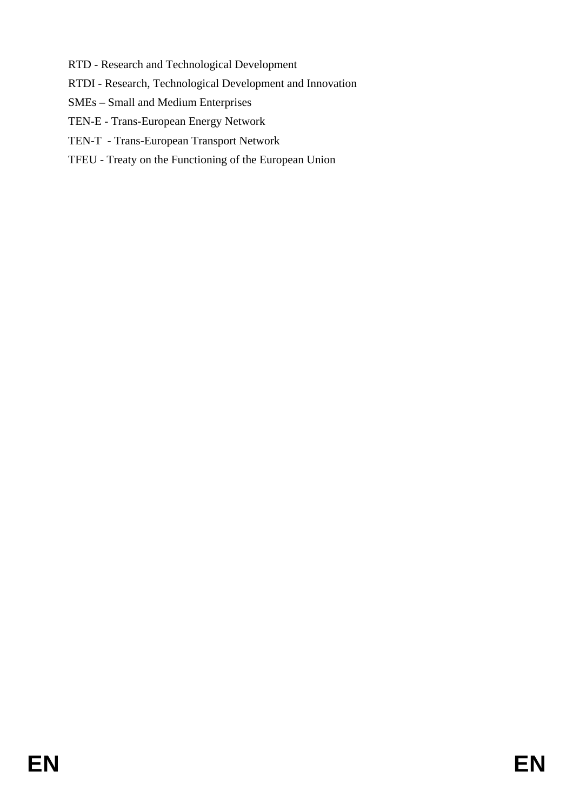- RTD Research and Technological Development
- RTDI Research, Technological Development and Innovation
- SMEs Small and Medium Enterprises
- TEN-E Trans-European Energy Network
- TEN-T Trans-European Transport Network
- TFEU Treaty on the Functioning of the European Union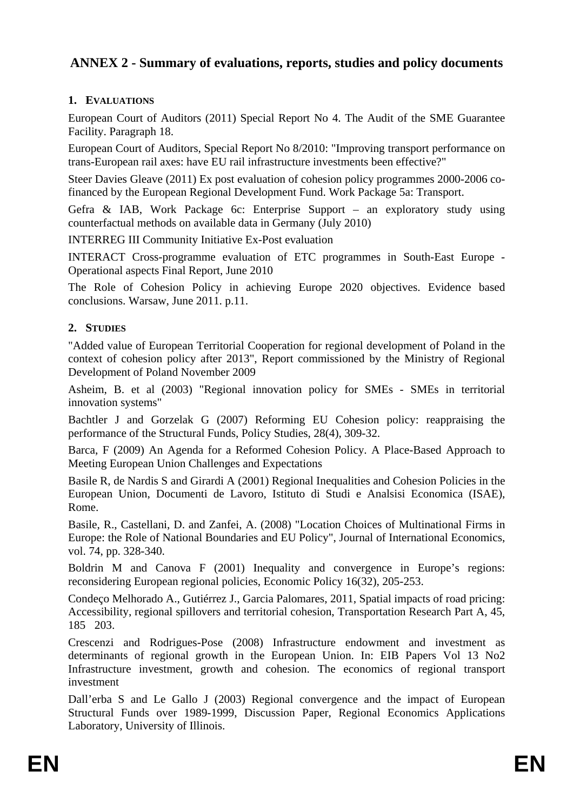# <span id="page-4-0"></span>**ANNEX 2 - Summary of evaluations, reports, studies and policy documents**

# **1. EVALUATIONS**

European Court of Auditors (2011) Special Report No 4. The Audit of the SME Guarantee Facility. Paragraph 18.

European Court of Auditors, Special Report No 8/2010: "Improving transport performance on trans-European rail axes: have EU rail infrastructure investments been effective?"

Steer Davies Gleave (2011) Ex post evaluation of cohesion policy programmes 2000-2006 cofinanced by the European Regional Development Fund. Work Package 5a: Transport.

Gefra & IAB, Work Package 6c: Enterprise Support – an exploratory study using counterfactual methods on available data in Germany (July 2010)

INTERREG III Community Initiative Ex-Post evaluation

INTERACT Cross-programme evaluation of ETC programmes in South-East Europe - Operational aspects Final Report, June 2010

The Role of Cohesion Policy in achieving Europe 2020 objectives. Evidence based conclusions. Warsaw, June 2011. p.11.

# **2. STUDIES**

"Added value of European Territorial Cooperation for regional development of Poland in the context of cohesion policy after 2013", Report commissioned by the Ministry of Regional Development of Poland November 2009

Asheim, B. et al (2003) "Regional innovation policy for SMEs - SMEs in territorial innovation systems"

Bachtler J and Gorzelak G (2007) Reforming EU Cohesion policy: reappraising the performance of the Structural Funds, Policy Studies, 28(4), 309-32.

Barca, F (2009) An Agenda for a Reformed Cohesion Policy. A Place-Based Approach to Meeting European Union Challenges and Expectations

Basile R, de Nardis S and Girardi A (2001) Regional Inequalities and Cohesion Policies in the European Union, Documenti de Lavoro, Istituto di Studi e Analsisi Economica (ISAE), Rome.

Basile, R., Castellani, D. and Zanfei, A. (2008) "Location Choices of Multinational Firms in Europe: the Role of National Boundaries and EU Policy", Journal of International Economics, vol. 74, pp. 328-340.

Boldrin M and Canova F (2001) Inequality and convergence in Europe's regions: reconsidering European regional policies, Economic Policy 16(32), 205-253.

Condeço Melhorado A., Gutiérrez J., Garcia Palomares, 2011, Spatial impacts of road pricing: Accessibility, regional spillovers and territorial cohesion, Transportation Research Part A, 45, 185203.

Crescenzi and Rodrigues-Pose (2008) Infrastructure endowment and investment as determinants of regional growth in the European Union. In: EIB Papers Vol 13 No2 Infrastructure investment, growth and cohesion. The economics of regional transport investment

Dall'erba S and Le Gallo J (2003) Regional convergence and the impact of European Structural Funds over 1989-1999, Discussion Paper, Regional Economics Applications Laboratory, University of Illinois.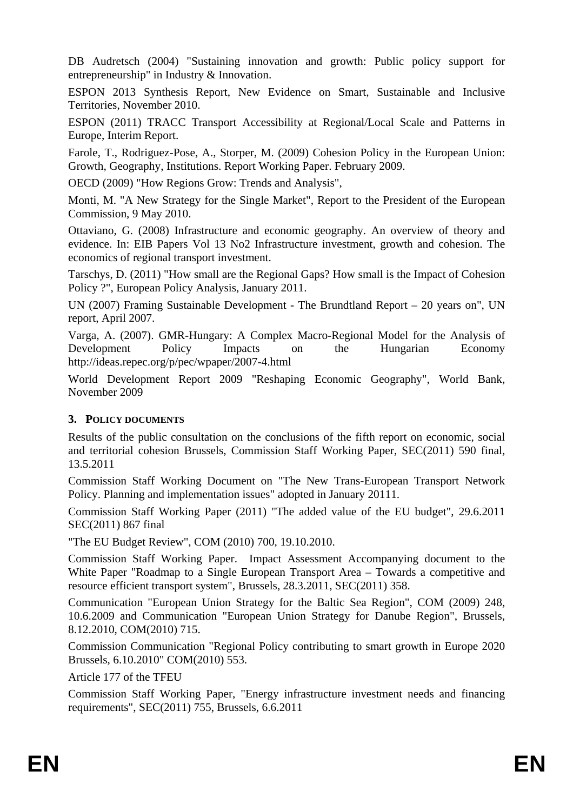DB Audretsch (2004) "Sustaining innovation and growth: Public policy support for entrepreneurship" in Industry & Innovation.

ESPON 2013 Synthesis Report, New Evidence on Smart, Sustainable and Inclusive Territories, November 2010.

ESPON (2011) TRACC Transport Accessibility at Regional/Local Scale and Patterns in Europe, Interim Report.

Farole, T., Rodriguez-Pose, A., Storper, M. (2009) Cohesion Policy in the European Union: Growth, Geography, Institutions. Report Working Paper. February 2009.

OECD (2009) "How Regions Grow: Trends and Analysis",

Monti, M. "A New Strategy for the Single Market", Report to the President of the European Commission, 9 May 2010.

Ottaviano, G. (2008) Infrastructure and economic geography. An overview of theory and evidence. In: EIB Papers Vol 13 No2 Infrastructure investment, growth and cohesion. The economics of regional transport investment.

Tarschys, D. (2011) "How small are the Regional Gaps? How small is the Impact of Cohesion Policy ?", European Policy Analysis, January 2011.

UN (2007) Framing Sustainable Development - The Brundtland Report – 20 years on", UN report, April 2007.

Varga, A. (2007). GMR-Hungary: A Complex Macro-Regional Model for the Analysis of Development Policy Impacts on the Hungarian Economy <http://ideas.repec.org/p/pec/wpaper/2007-4.html>

World Development Report 2009 "Reshaping Economic Geography", World Bank, November 2009

#### **3. POLICY DOCUMENTS**

Results of the public consultation on the conclusions of the fifth report on economic, social and territorial cohesion Brussels, Commission Staff Working Paper, SEC(2011) 590 final, 13.5.2011

Commission Staff Working Document on "The New Trans-European Transport Network Policy. Planning and implementation issues" adopted in January 20111.

Commission Staff Working Paper (2011) "The added value of the EU budget", 29.6.2011 SEC(2011) 867 final

"The EU Budget Review", COM (2010) 700, 19.10.2010.

Commission Staff Working Paper. Impact Assessment Accompanying document to the White Paper "Roadmap to a Single European Transport Area – Towards a competitive and resource efficient transport system", Brussels, 28.3.2011, SEC(2011) 358.

Communication "European Union Strategy for the Baltic Sea Region", COM (2009) 248, 10.6.2009 and Communication "European Union Strategy for Danube Region", Brussels, 8.12.2010, COM(2010) 715.

Commission Communication "Regional Policy contributing to smart growth in Europe 2020 Brussels, 6.10.2010" COM(2010) 553.

Article 177 of the TFEU

Commission Staff Working Paper, "Energy infrastructure investment needs and financing requirements", SEC(2011) 755, Brussels, 6.6.2011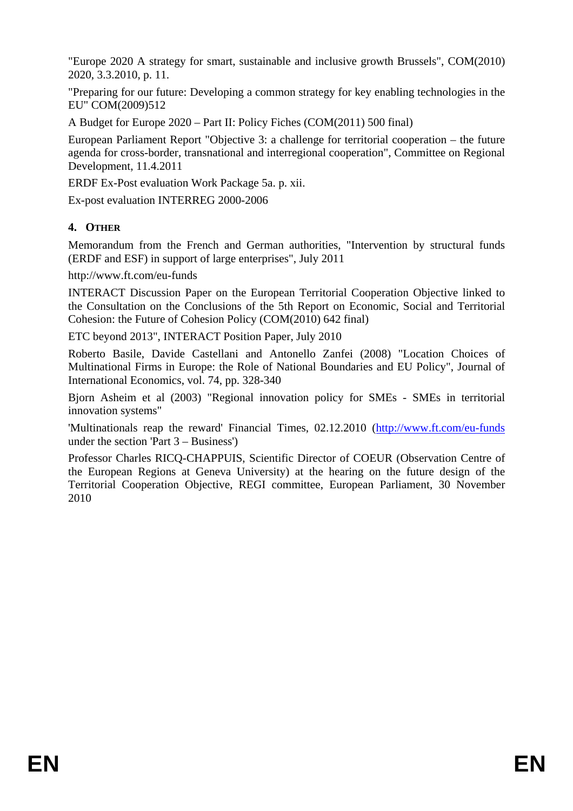"Europe 2020 A strategy for smart, sustainable and inclusive growth Brussels", COM(2010) 2020, 3.3.2010, p. 11.

"Preparing for our future: Developing a common strategy for key enabling technologies in the EU" COM(2009)512

A Budget for Europe 2020 – Part II: Policy Fiches (COM(2011) 500 final)

European Parliament Report "Objective 3: a challenge for territorial cooperation – the future agenda for cross-border, transnational and interregional cooperation", Committee on Regional Development, 11.4.2011

ERDF Ex-Post evaluation Work Package 5a. p. xii.

Ex-post evaluation INTERREG 2000-2006

# **4. OTHER**

Memorandum from the French and German authorities, "Intervention by structural funds (ERDF and ESF) in support of large enterprises", July 2011

<http://www.ft.com/eu-funds>

INTERACT Discussion Paper on the European Territorial Cooperation Objective linked to the Consultation on the Conclusions of the 5th Report on Economic, Social and Territorial Cohesion: the Future of Cohesion Policy (COM(2010) 642 final)

[ETC beyond 2013"](http://cmstest.interact-eu.net/downloads/2152/ETC_beyond_2013_%257C_Position_Paper_%257C_07.2010.pdf), INTERACT Position Paper, July 2010

Roberto Basile, Davide Castellani and Antonello Zanfei (2008) "Location Choices of Multinational Firms in Europe: the Role of National Boundaries and EU Policy", Journal of International Economics, vol. 74, pp. 328-340

Bjorn Asheim et al (2003) "Regional innovation policy for SMEs - SMEs in territorial innovation systems"

'Multinationals reap the reward' Financial Times, 02.12.2010 [\(http://www.ft.com/eu-funds](http://www.ft.com/eu-funds) under the section 'Part 3 – Business')

Professor Charles RICQ-CHAPPUIS, Scientific Director of COEUR (Observation Centre of the European Regions at Geneva University) at the hearing on the future design of the Territorial Cooperation Objective, REGI committee, European Parliament, 30 November 2010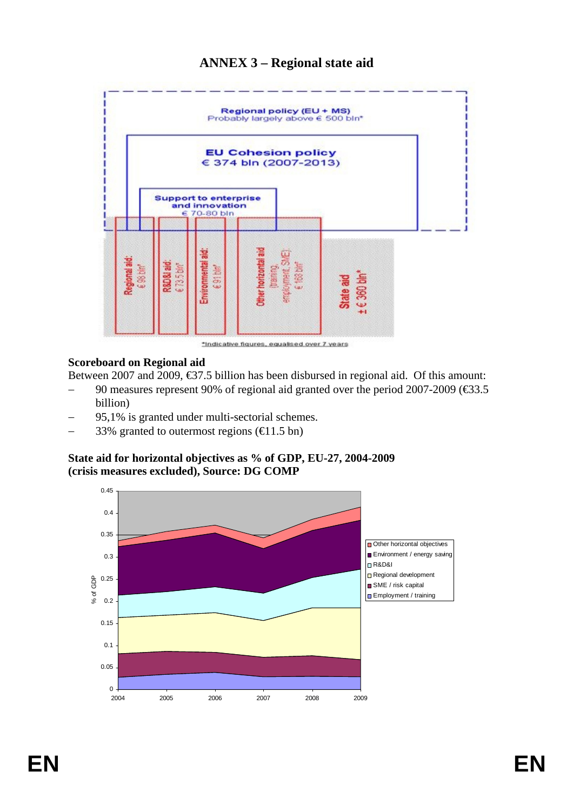# **ANNEX 3 – Regional state aid**

<span id="page-7-0"></span>

### **Scoreboard on Regional aid**

Between 2007 and 2009, €37.5 billion has been disbursed in regional aid. Of this amount:

- 90 measures represent 90% of regional aid granted over the period 2007-2009 (€33.5) billion)
- 95,1% is granted under multi-sectorial schemes.
- 33% granted to outermost regions ( $\in$ 1.5 bn)

# **State aid for horizontal objectives as % of GDP, EU-27, 2004-2009 (crisis measures excluded), Source: DG COMP**

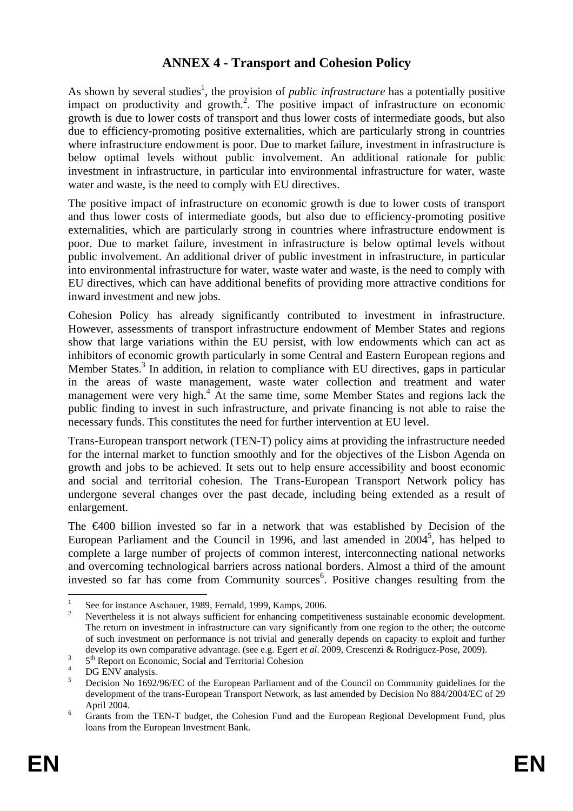# **ANNEX 4 - Transport and Cohesion Policy**

<span id="page-8-0"></span>As shown by several studies<sup>1</sup>, the provision of *public infrastructure* has a potentially positive impact on productivity and growth.<sup>2</sup>. The positive impact of infrastructure on economic growth is due to lower costs of transport and thus lower costs of intermediate goods, but also due to efficiency-promoting positive externalities, which are particularly strong in countries where infrastructure endowment is poor. Due to market failure, investment in infrastructure is below optimal levels without public involvement. An additional rationale for public investment in infrastructure, in particular into environmental infrastructure for water, waste water and waste, is the need to comply with EU directives.

The positive impact of infrastructure on economic growth is due to lower costs of transport and thus lower costs of intermediate goods, but also due to efficiency-promoting positive externalities, which are particularly strong in countries where infrastructure endowment is poor. Due to market failure, investment in infrastructure is below optimal levels without public involvement. An additional driver of public investment in infrastructure, in particular into environmental infrastructure for water, waste water and waste, is the need to comply with EU directives, which can have additional benefits of providing more attractive conditions for inward investment and new jobs.

Cohesion Policy has already significantly contributed to investment in infrastructure. However, assessments of transport infrastructure endowment of Member States and regions show that large variations within the EU persist, with low endowments which can act as inhibitors of economic growth particularly in some Central and Eastern European regions and Member States.<sup>3</sup> In addition, in relation to compliance with EU directives, gaps in particular in the areas of waste management, waste water collection and treatment and water management were very high.<sup>4</sup> At the same time, some Member States and regions lack the public finding to invest in such infrastructure, and private financing is not able to raise the necessary funds. This constitutes the need for further intervention at EU level.

Trans-European transport network (TEN-T) policy aims at providing the infrastructure needed for the internal market to function smoothly and for the objectives of the Lisbon Agenda on growth and jobs to be achieved. It sets out to help ensure accessibility and boost economic and social and territorial cohesion. The Trans-European Transport Network policy has undergone several changes over the past decade, including being extended as a result of enlargement.

The €400 billion invested so far in a network that was established by Decision of the European Parliament and the Council in 1996, and last amended in  $2004^5$ , has helped to complete a large number of projects of common interest, interconnecting national networks and overcoming technological barriers across national borders. Almost a third of the amount invested so far has come from Community sources<sup>6</sup>. Positive changes resulting from the

1

<sup>1</sup> See for instance Aschauer, 1989, Fernald, 1999, Kamps, 2006.

Nevertheless it is not always sufficient for enhancing competitiveness sustainable economic development. The return on investment in infrastructure can vary significantly from one region to the other; the outcome of such investment on performance is not trivial and generally depends on capacity to exploit and further develop its own comparative advantage. (see e.g. Egert *et al.* 2009, Crescenzi & Rodriguez-Pose, 2009).

 $5<sup>th</sup>$  Report on Economic, Social and Territorial Cohesion

DG ENV analysis.

<sup>5</sup> Decision No 1692/96/EC of the European Parliament and of the Council on Community guidelines for the development of the trans-European Transport Network, as last amended by Decision No 884/2004/EC of 29 April 2004.

Grants from the TEN-T budget, the Cohesion Fund and the European Regional Development Fund, plus loans from the European Investment Bank.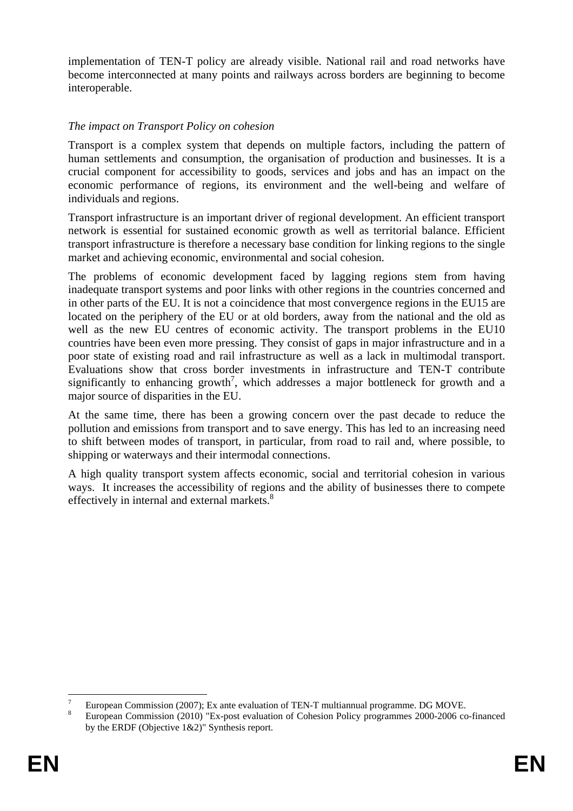implementation of TEN-T policy are already visible. National rail and road networks have become interconnected at many points and railways across borders are beginning to become interoperable.

# *The impact on Transport Policy on cohesion*

Transport is a complex system that depends on multiple factors, including the pattern of human settlements and consumption, the organisation of production and businesses. It is a crucial component for accessibility to goods, services and jobs and has an impact on the economic performance of regions, its environment and the well-being and welfare of individuals and regions.

Transport infrastructure is an important driver of regional development. An efficient transport network is essential for sustained economic growth as well as territorial balance. Efficient transport infrastructure is therefore a necessary base condition for linking regions to the single market and achieving economic, environmental and social cohesion.

The problems of economic development faced by lagging regions stem from having inadequate transport systems and poor links with other regions in the countries concerned and in other parts of the EU. It is not a coincidence that most convergence regions in the EU15 are located on the periphery of the EU or at old borders, away from the national and the old as well as the new EU centres of economic activity. The transport problems in the EU10 countries have been even more pressing. They consist of gaps in major infrastructure and in a poor state of existing road and rail infrastructure as well as a lack in multimodal transport. Evaluations show that cross border investments in infrastructure and TEN-T contribute significantly to enhancing growth<sup>7</sup>, which addresses a major bottleneck for growth and a major source of disparities in the EU.

At the same time, there has been a growing concern over the past decade to reduce the pollution and emissions from transport and to save energy. This has led to an increasing need to shift between modes of transport, in particular, from road to rail and, where possible, to shipping or waterways and their intermodal connections.

A high quality transport system affects economic, social and territorial cohesion in various ways. It increases the accessibility of regions and the ability of businesses there to compete effectively in internal and external markets.<sup>8</sup>

1

<sup>7</sup> European Commission (2007); Ex ante evaluation of TEN-T multiannual programme. DG MOVE. 8

European Commission (2010) "Ex-post evaluation of Cohesion Policy programmes 2000-2006 co-financed by the ERDF (Objective 1&2)" Synthesis report.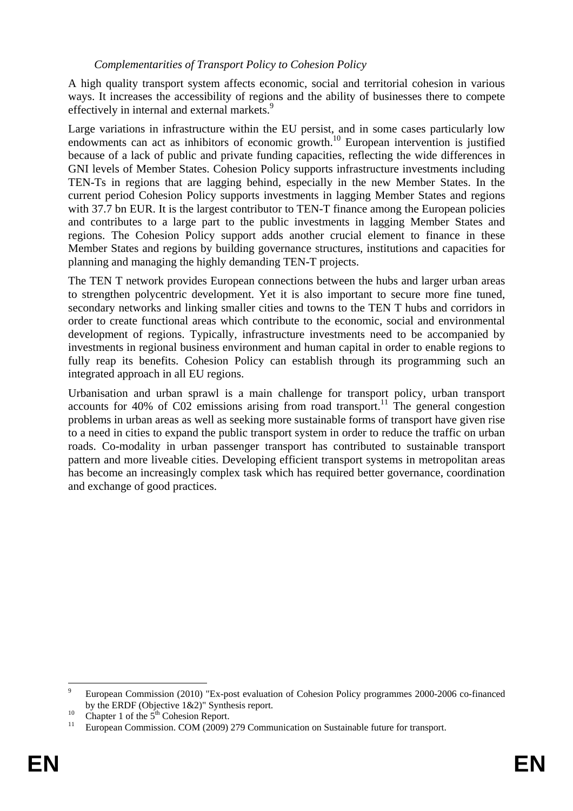#### *Complementarities of Transport Policy to Cohesion Policy*

A high quality transport system affects economic, social and territorial cohesion in various ways. It increases the accessibility of regions and the ability of businesses there to compete effectively in internal and external markets.<sup>9</sup>

Large variations in infrastructure within the EU persist, and in some cases particularly low endowments can act as inhibitors of economic growth.<sup>10</sup> European intervention is justified because of a lack of public and private funding capacities, reflecting the wide differences in GNI levels of Member States. Cohesion Policy supports infrastructure investments including TEN-Ts in regions that are lagging behind, especially in the new Member States. In the current period Cohesion Policy supports investments in lagging Member States and regions with 37.7 bn EUR. It is the largest contributor to TEN-T finance among the European policies and contributes to a large part to the public investments in lagging Member States and regions. The Cohesion Policy support adds another crucial element to finance in these Member States and regions by building governance structures, institutions and capacities for planning and managing the highly demanding TEN-T projects.

The TEN T network provides European connections between the hubs and larger urban areas to strengthen polycentric development. Yet it is also important to secure more fine tuned, secondary networks and linking smaller cities and towns to the TEN T hubs and corridors in order to create functional areas which contribute to the economic, social and environmental development of regions. Typically, infrastructure investments need to be accompanied by investments in regional business environment and human capital in order to enable regions to fully reap its benefits. Cohesion Policy can establish through its programming such an integrated approach in all EU regions.

Urbanisation and urban sprawl is a main challenge for transport policy, urban transport accounts for 40% of  $\text{C}02$  emissions arising from road transport.<sup>11</sup> The general congestion problems in urban areas as well as seeking more sustainable forms of transport have given rise to a need in cities to expand the public transport system in order to reduce the traffic on urban roads. Co-modality in urban passenger transport has contributed to sustainable transport pattern and more liveable cities. Developing efficient transport systems in metropolitan areas has become an increasingly complex task which has required better governance, coordination and exchange of good practices.

<sup>–&</sup>lt;br>9 European Commission (2010) "Ex-post evaluation of Cohesion Policy programmes 2000-2006 co-financed by the ERDF (Objective 1&2)" Synthesis report.<br>
<sup>10</sup> Chapter 1 of the 5<sup>th</sup> Cohesion Report.<br>
<sup>11</sup> European Commission. COM (2009) 279 Communication on Sustainable future for transport.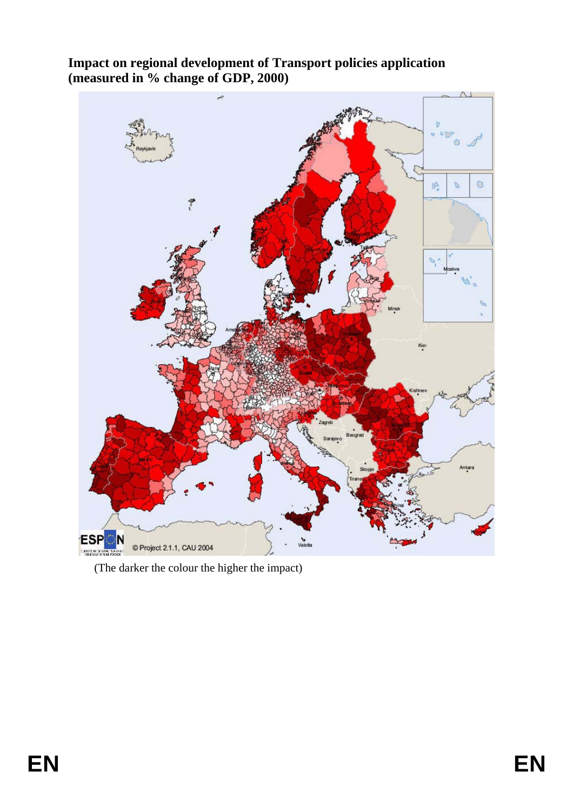

**Impact on regional development of Transport policies application (measured in % change of GDP, 2000)**

(The darker the colour the higher the impact)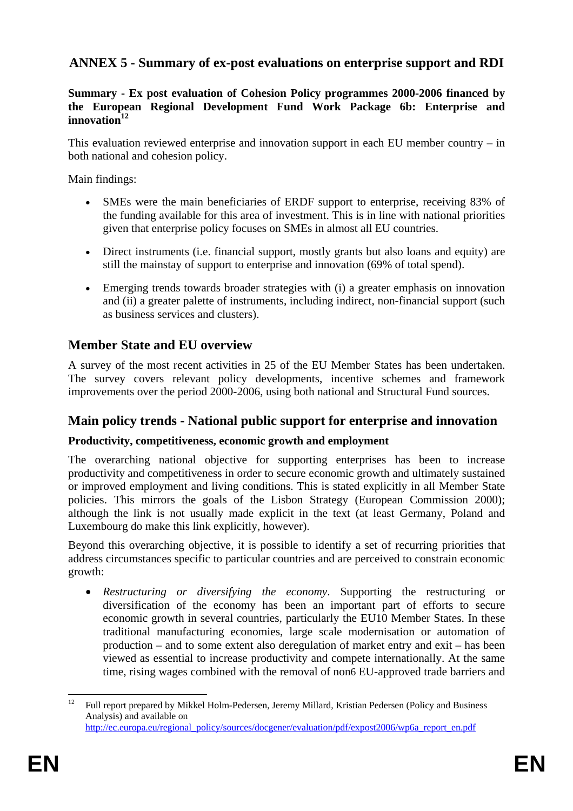# <span id="page-12-0"></span>**ANNEX 5 - Summary of ex-post evaluations on enterprise support and RDI**

#### **Summary - Ex post evaluation of Cohesion Policy programmes 2000-2006 financed by the European Regional Development Fund Work Package 6b: Enterprise and**  innovation<sup>12</sup>

This evaluation reviewed enterprise and innovation support in each EU member country – in both national and cohesion policy.

Main findings:

- SMEs were the main beneficiaries of ERDF support to enterprise, receiving 83% of the funding available for this area of investment. This is in line with national priorities given that enterprise policy focuses on SMEs in almost all EU countries.
- Direct instruments (i.e. financial support, mostly grants but also loans and equity) are still the mainstay of support to enterprise and innovation (69% of total spend).
- Emerging trends towards broader strategies with (i) a greater emphasis on innovation and (ii) a greater palette of instruments, including indirect, non-financial support (such as business services and clusters).

# **Member State and EU overview**

A survey of the most recent activities in 25 of the EU Member States has been undertaken. The survey covers relevant policy developments, incentive schemes and framework improvements over the period 2000-2006, using both national and Structural Fund sources.

# **Main policy trends - National public support for enterprise and innovation**

# **Productivity, competitiveness, economic growth and employment**

The overarching national objective for supporting enterprises has been to increase productivity and competitiveness in order to secure economic growth and ultimately sustained or improved employment and living conditions. This is stated explicitly in all Member State policies. This mirrors the goals of the Lisbon Strategy (European Commission 2000); although the link is not usually made explicit in the text (at least Germany, Poland and Luxembourg do make this link explicitly, however).

Beyond this overarching objective, it is possible to identify a set of recurring priorities that address circumstances specific to particular countries and are perceived to constrain economic growth:

• *Restructuring or diversifying the economy*. Supporting the restructuring or diversification of the economy has been an important part of efforts to secure economic growth in several countries, particularly the EU10 Member States. In these traditional manufacturing economies, large scale modernisation or automation of production – and to some extent also deregulation of market entry and exit – has been viewed as essential to increase productivity and compete internationally. At the same time, rising wages combined with the removal of non6 EU-approved trade barriers and

 $12$ 12 Full report prepared by Mikkel Holm-Pedersen, Jeremy Millard, Kristian Pedersen (Policy and Business Analysis) and available on [http://ec.europa.eu/regional\\_policy/sources/docgener/evaluation/pdf/expost2006/wp6a\\_report\\_en.pdf](http://ec.europa.eu/regional_policy/sources/docgener/evaluation/pdf/expost2006/wp6a_report_en.pdf)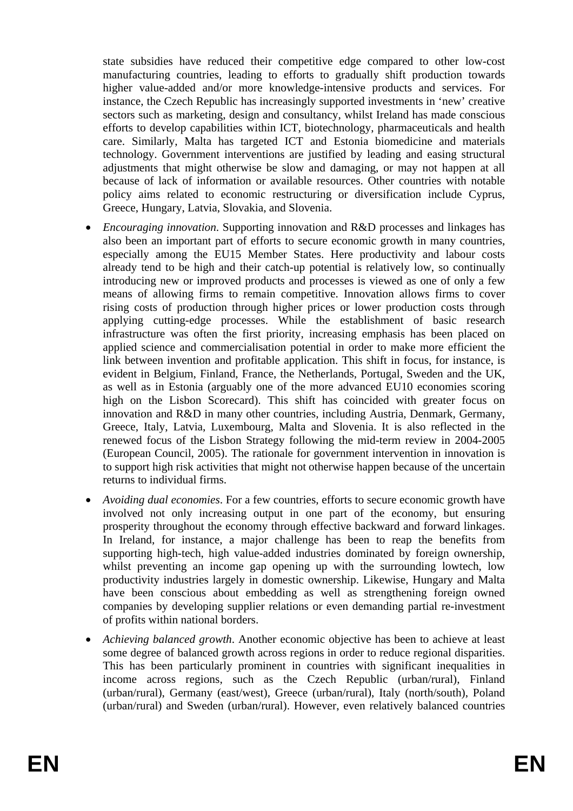state subsidies have reduced their competitive edge compared to other low-cost manufacturing countries, leading to efforts to gradually shift production towards higher value-added and/or more knowledge-intensive products and services. For instance, the Czech Republic has increasingly supported investments in 'new' creative sectors such as marketing, design and consultancy, whilst Ireland has made conscious efforts to develop capabilities within ICT, biotechnology, pharmaceuticals and health care. Similarly, Malta has targeted ICT and Estonia biomedicine and materials technology. Government interventions are justified by leading and easing structural adjustments that might otherwise be slow and damaging, or may not happen at all because of lack of information or available resources. Other countries with notable policy aims related to economic restructuring or diversification include Cyprus, Greece, Hungary, Latvia, Slovakia, and Slovenia.

- *Encouraging innovation*. Supporting innovation and R&D processes and linkages has also been an important part of efforts to secure economic growth in many countries, especially among the EU15 Member States. Here productivity and labour costs already tend to be high and their catch-up potential is relatively low, so continually introducing new or improved products and processes is viewed as one of only a few means of allowing firms to remain competitive. Innovation allows firms to cover rising costs of production through higher prices or lower production costs through applying cutting-edge processes. While the establishment of basic research infrastructure was often the first priority, increasing emphasis has been placed on applied science and commercialisation potential in order to make more efficient the link between invention and profitable application. This shift in focus, for instance, is evident in Belgium, Finland, France, the Netherlands, Portugal, Sweden and the UK, as well as in Estonia (arguably one of the more advanced EU10 economies scoring high on the Lisbon Scorecard). This shift has coincided with greater focus on innovation and R&D in many other countries, including Austria, Denmark, Germany, Greece, Italy, Latvia, Luxembourg, Malta and Slovenia. It is also reflected in the renewed focus of the Lisbon Strategy following the mid-term review in 2004-2005 (European Council, 2005). The rationale for government intervention in innovation is to support high risk activities that might not otherwise happen because of the uncertain returns to individual firms.
- *Avoiding dual economies*. For a few countries, efforts to secure economic growth have involved not only increasing output in one part of the economy, but ensuring prosperity throughout the economy through effective backward and forward linkages. In Ireland, for instance, a major challenge has been to reap the benefits from supporting high-tech, high value-added industries dominated by foreign ownership, whilst preventing an income gap opening up with the surrounding lowtech, low productivity industries largely in domestic ownership. Likewise, Hungary and Malta have been conscious about embedding as well as strengthening foreign owned companies by developing supplier relations or even demanding partial re-investment of profits within national borders.
- *Achieving balanced growth*. Another economic objective has been to achieve at least some degree of balanced growth across regions in order to reduce regional disparities. This has been particularly prominent in countries with significant inequalities in income across regions, such as the Czech Republic (urban/rural), Finland (urban/rural), Germany (east/west), Greece (urban/rural), Italy (north/south), Poland (urban/rural) and Sweden (urban/rural). However, even relatively balanced countries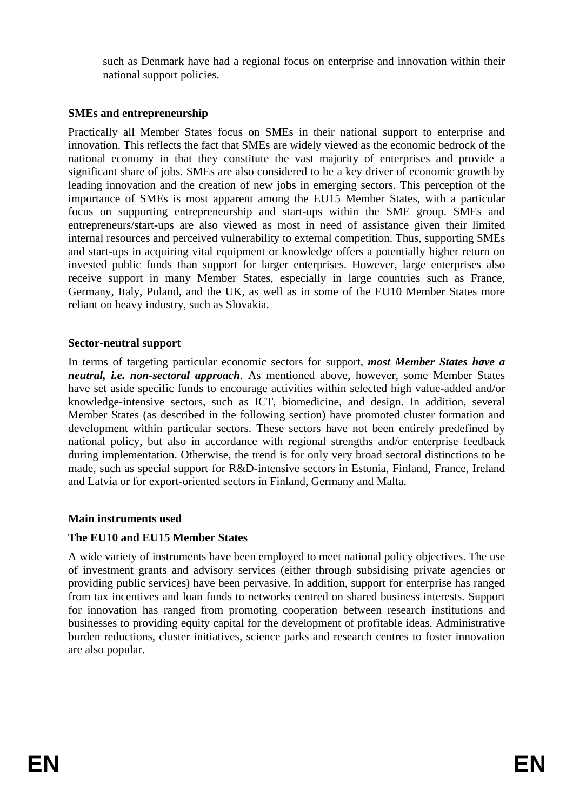such as Denmark have had a regional focus on enterprise and innovation within their national support policies.

### **SMEs and entrepreneurship**

Practically all Member States focus on SMEs in their national support to enterprise and innovation. This reflects the fact that SMEs are widely viewed as the economic bedrock of the national economy in that they constitute the vast majority of enterprises and provide a significant share of jobs. SMEs are also considered to be a key driver of economic growth by leading innovation and the creation of new jobs in emerging sectors. This perception of the importance of SMEs is most apparent among the EU15 Member States, with a particular focus on supporting entrepreneurship and start-ups within the SME group. SMEs and entrepreneurs/start-ups are also viewed as most in need of assistance given their limited internal resources and perceived vulnerability to external competition. Thus, supporting SMEs and start-ups in acquiring vital equipment or knowledge offers a potentially higher return on invested public funds than support for larger enterprises. However, large enterprises also receive support in many Member States, especially in large countries such as France, Germany, Italy, Poland, and the UK, as well as in some of the EU10 Member States more reliant on heavy industry, such as Slovakia.

#### **Sector-neutral support**

In terms of targeting particular economic sectors for support, *most Member States have a neutral, i.e. non-sectoral approach*. As mentioned above, however, some Member States have set aside specific funds to encourage activities within selected high value-added and/or knowledge-intensive sectors, such as ICT, biomedicine, and design. In addition, several Member States (as described in the following section) have promoted cluster formation and development within particular sectors. These sectors have not been entirely predefined by national policy, but also in accordance with regional strengths and/or enterprise feedback during implementation. Otherwise, the trend is for only very broad sectoral distinctions to be made, such as special support for R&D-intensive sectors in Estonia, Finland, France, Ireland and Latvia or for export-oriented sectors in Finland, Germany and Malta.

#### **Main instruments used**

#### **The EU10 and EU15 Member States**

A wide variety of instruments have been employed to meet national policy objectives. The use of investment grants and advisory services (either through subsidising private agencies or providing public services) have been pervasive. In addition, support for enterprise has ranged from tax incentives and loan funds to networks centred on shared business interests. Support for innovation has ranged from promoting cooperation between research institutions and businesses to providing equity capital for the development of profitable ideas. Administrative burden reductions, cluster initiatives, science parks and research centres to foster innovation are also popular.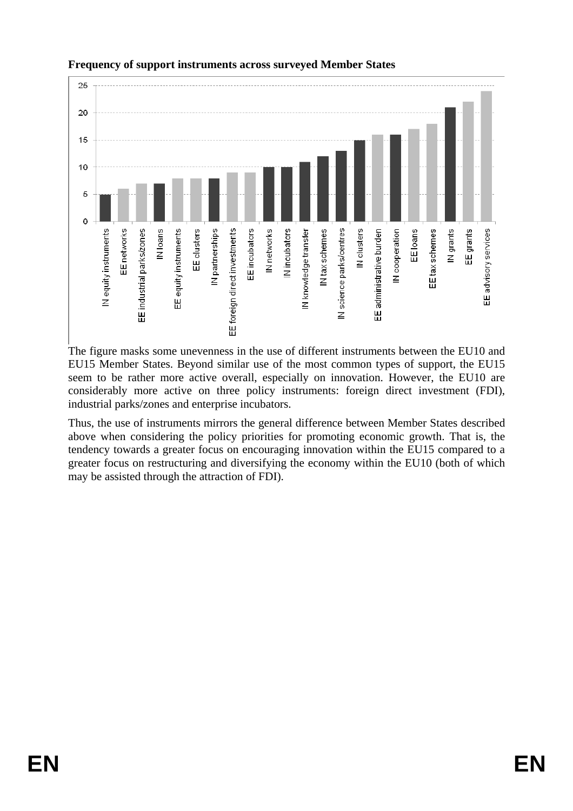

**Frequency of support instruments across surveyed Member States**

The figure masks some unevenness in the use of different instruments between the EU10 and EU15 Member States. Beyond similar use of the most common types of support, the EU15 seem to be rather more active overall, especially on innovation. However, the EU10 are considerably more active on three policy instruments: foreign direct investment (FDI), industrial parks/zones and enterprise incubators.

Thus, the use of instruments mirrors the general difference between Member States described above when considering the policy priorities for promoting economic growth. That is, the tendency towards a greater focus on encouraging innovation within the EU15 compared to a greater focus on restructuring and diversifying the economy within the EU10 (both of which may be assisted through the attraction of FDI).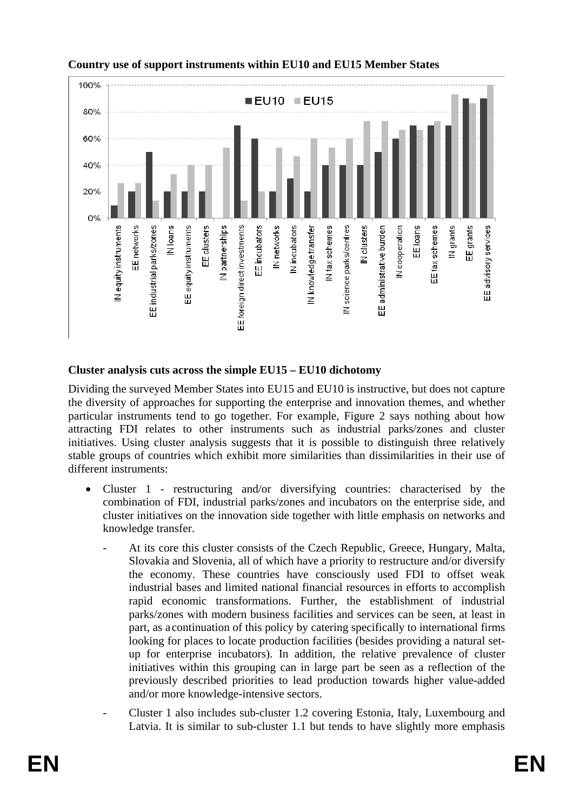

# **Country use of support instruments within EU10 and EU15 Member States**

### **Cluster analysis cuts across the simple EU15 – EU10 dichotomy**

Dividing the surveyed Member States into EU15 and EU10 is instructive, but does not capture the diversity of approaches for supporting the enterprise and innovation themes, and whether particular instruments tend to go together. For example, Figure 2 says nothing about how attracting FDI relates to other instruments such as industrial parks/zones and cluster initiatives. Using cluster analysis suggests that it is possible to distinguish three relatively stable groups of countries which exhibit more similarities than dissimilarities in their use of different instruments:

- Cluster 1 restructuring and/or diversifying countries: characterised by the combination of FDI, industrial parks/zones and incubators on the enterprise side, and cluster initiatives on the innovation side together with little emphasis on networks and knowledge transfer.
	- At its core this cluster consists of the Czech Republic, Greece, Hungary, Malta, Slovakia and Slovenia, all of which have a priority to restructure and/or diversify the economy. These countries have consciously used FDI to offset weak industrial bases and limited national financial resources in efforts to accomplish rapid economic transformations. Further, the establishment of industrial parks/zones with modern business facilities and services can be seen, at least in part, as a continuation of this policy by catering specifically to international firms looking for places to locate production facilities (besides providing a natural setup for enterprise incubators). In addition, the relative prevalence of cluster initiatives within this grouping can in large part be seen as a reflection of the previously described priorities to lead production towards higher value-added and/or more knowledge-intensive sectors.
	- Cluster 1 also includes sub-cluster 1.2 covering Estonia, Italy, Luxembourg and Latvia. It is similar to sub-cluster 1.1 but tends to have slightly more emphasis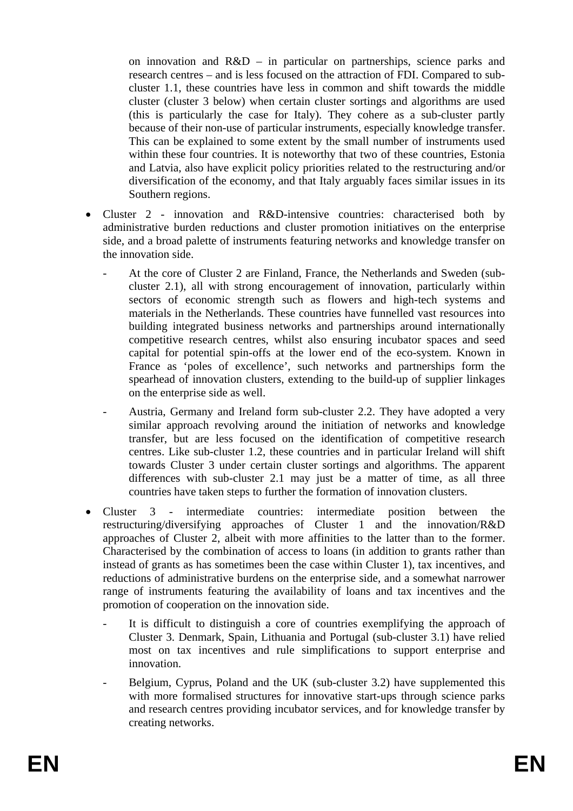on innovation and R&D – in particular on partnerships, science parks and research centres – and is less focused on the attraction of FDI. Compared to subcluster 1.1, these countries have less in common and shift towards the middle cluster (cluster 3 below) when certain cluster sortings and algorithms are used (this is particularly the case for Italy). They cohere as a sub-cluster partly because of their non-use of particular instruments, especially knowledge transfer. This can be explained to some extent by the small number of instruments used within these four countries. It is noteworthy that two of these countries, Estonia and Latvia, also have explicit policy priorities related to the restructuring and/or diversification of the economy, and that Italy arguably faces similar issues in its Southern regions.

- Cluster 2 innovation and R&D-intensive countries: characterised both by administrative burden reductions and cluster promotion initiatives on the enterprise side, and a broad palette of instruments featuring networks and knowledge transfer on the innovation side.
	- At the core of Cluster 2 are Finland, France, the Netherlands and Sweden (subcluster 2.1), all with strong encouragement of innovation, particularly within sectors of economic strength such as flowers and high-tech systems and materials in the Netherlands. These countries have funnelled vast resources into building integrated business networks and partnerships around internationally competitive research centres, whilst also ensuring incubator spaces and seed capital for potential spin-offs at the lower end of the eco-system. Known in France as 'poles of excellence', such networks and partnerships form the spearhead of innovation clusters, extending to the build-up of supplier linkages on the enterprise side as well.
	- Austria, Germany and Ireland form sub-cluster 2.2. They have adopted a very similar approach revolving around the initiation of networks and knowledge transfer, but are less focused on the identification of competitive research centres. Like sub-cluster 1.2, these countries and in particular Ireland will shift towards Cluster 3 under certain cluster sortings and algorithms. The apparent differences with sub-cluster 2.1 may just be a matter of time, as all three countries have taken steps to further the formation of innovation clusters.
- Cluster 3 intermediate countries: intermediate position between the restructuring/diversifying approaches of Cluster 1 and the innovation/R&D approaches of Cluster 2, albeit with more affinities to the latter than to the former. Characterised by the combination of access to loans (in addition to grants rather than instead of grants as has sometimes been the case within Cluster 1), tax incentives, and reductions of administrative burdens on the enterprise side, and a somewhat narrower range of instruments featuring the availability of loans and tax incentives and the promotion of cooperation on the innovation side.
	- It is difficult to distinguish a core of countries exemplifying the approach of Cluster 3. Denmark, Spain, Lithuania and Portugal (sub-cluster 3.1) have relied most on tax incentives and rule simplifications to support enterprise and innovation.
	- Belgium, Cyprus, Poland and the UK (sub-cluster 3.2) have supplemented this with more formalised structures for innovative start-ups through science parks and research centres providing incubator services, and for knowledge transfer by creating networks.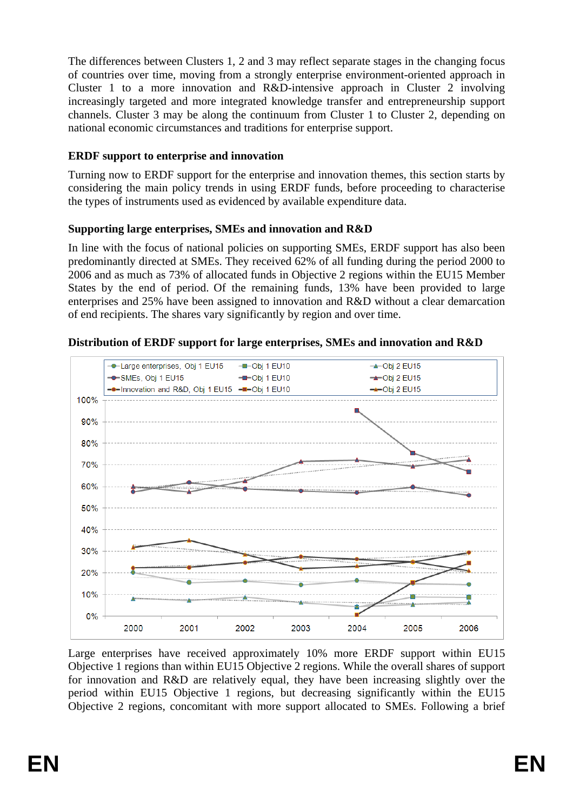The differences between Clusters 1, 2 and 3 may reflect separate stages in the changing focus of countries over time, moving from a strongly enterprise environment-oriented approach in Cluster 1 to a more innovation and R&D-intensive approach in Cluster 2 involving increasingly targeted and more integrated knowledge transfer and entrepreneurship support channels. Cluster 3 may be along the continuum from Cluster 1 to Cluster 2, depending on national economic circumstances and traditions for enterprise support.

# **ERDF support to enterprise and innovation**

Turning now to ERDF support for the enterprise and innovation themes, this section starts by considering the main policy trends in using ERDF funds, before proceeding to characterise the types of instruments used as evidenced by available expenditure data.

# **Supporting large enterprises, SMEs and innovation and R&D**

In line with the focus of national policies on supporting SMEs, ERDF support has also been predominantly directed at SMEs. They received 62% of all funding during the period 2000 to 2006 and as much as 73% of allocated funds in Objective 2 regions within the EU15 Member States by the end of period. Of the remaining funds, 13% have been provided to large enterprises and 25% have been assigned to innovation and R&D without a clear demarcation of end recipients. The shares vary significantly by region and over time.



**Distribution of ERDF support for large enterprises, SMEs and innovation and R&D**

Large enterprises have received approximately 10% more ERDF support within EU15 Objective 1 regions than within EU15 Objective 2 regions. While the overall shares of support for innovation and R&D are relatively equal, they have been increasing slightly over the period within EU15 Objective 1 regions, but decreasing significantly within the EU15 Objective 2 regions, concomitant with more support allocated to SMEs. Following a brief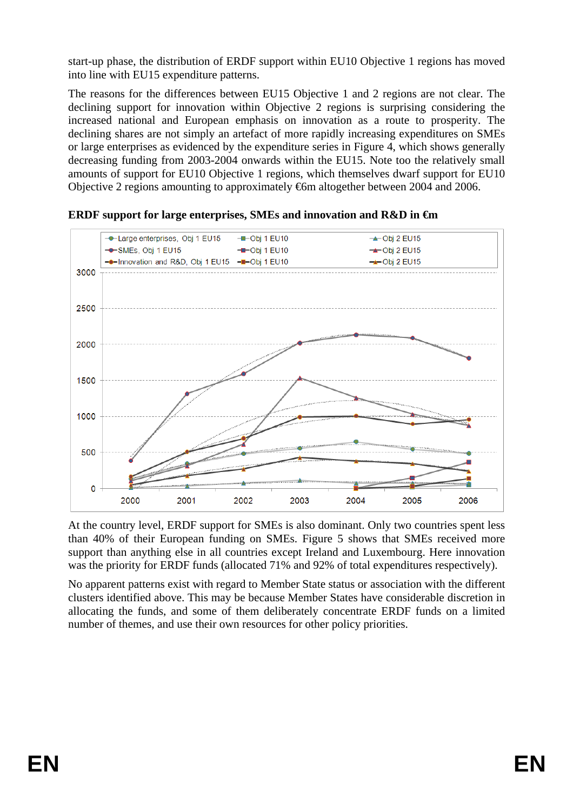start-up phase, the distribution of ERDF support within EU10 Objective 1 regions has moved into line with EU15 expenditure patterns.

The reasons for the differences between EU15 Objective 1 and 2 regions are not clear. The declining support for innovation within Objective 2 regions is surprising considering the increased national and European emphasis on innovation as a route to prosperity. The declining shares are not simply an artefact of more rapidly increasing expenditures on SMEs or large enterprises as evidenced by the expenditure series in Figure 4, which shows generally decreasing funding from 2003-2004 onwards within the EU15. Note too the relatively small amounts of support for EU10 Objective 1 regions, which themselves dwarf support for EU10 Objective 2 regions amounting to approximately €6m altogether between 2004 and 2006.



**ERDF support for large enterprises, SMEs and innovation and R&D in €m**

At the country level, ERDF support for SMEs is also dominant. Only two countries spent less than 40% of their European funding on SMEs. Figure 5 shows that SMEs received more support than anything else in all countries except Ireland and Luxembourg. Here innovation was the priority for ERDF funds (allocated 71% and 92% of total expenditures respectively).

No apparent patterns exist with regard to Member State status or association with the different clusters identified above. This may be because Member States have considerable discretion in allocating the funds, and some of them deliberately concentrate ERDF funds on a limited number of themes, and use their own resources for other policy priorities.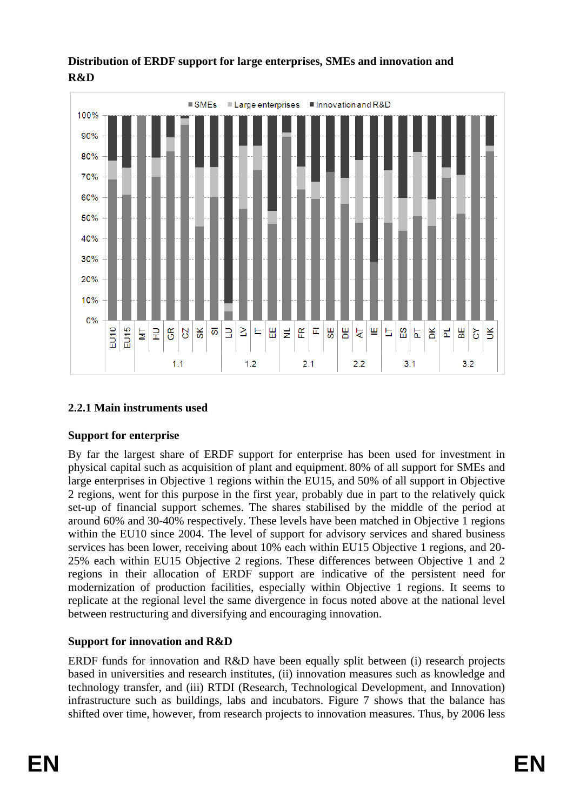

### **Distribution of ERDF support for large enterprises, SMEs and innovation and R&D**

# **2.2.1 Main instruments used**

# **Support for enterprise**

By far the largest share of ERDF support for enterprise has been used for investment in physical capital such as acquisition of plant and equipment. 80% of all support for SMEs and large enterprises in Objective 1 regions within the EU15, and 50% of all support in Objective 2 regions, went for this purpose in the first year, probably due in part to the relatively quick set-up of financial support schemes. The shares stabilised by the middle of the period at around 60% and 30-40% respectively. These levels have been matched in Objective 1 regions within the EU10 since 2004. The level of support for advisory services and shared business services has been lower, receiving about 10% each within EU15 Objective 1 regions, and 20- 25% each within EU15 Objective 2 regions. These differences between Objective 1 and 2 regions in their allocation of ERDF support are indicative of the persistent need for modernization of production facilities, especially within Objective 1 regions. It seems to replicate at the regional level the same divergence in focus noted above at the national level between restructuring and diversifying and encouraging innovation.

# **Support for innovation and R&D**

ERDF funds for innovation and R&D have been equally split between (i) research projects based in universities and research institutes, (ii) innovation measures such as knowledge and technology transfer, and (iii) RTDI (Research, Technological Development, and Innovation) infrastructure such as buildings, labs and incubators. Figure 7 shows that the balance has shifted over time, however, from research projects to innovation measures. Thus, by 2006 less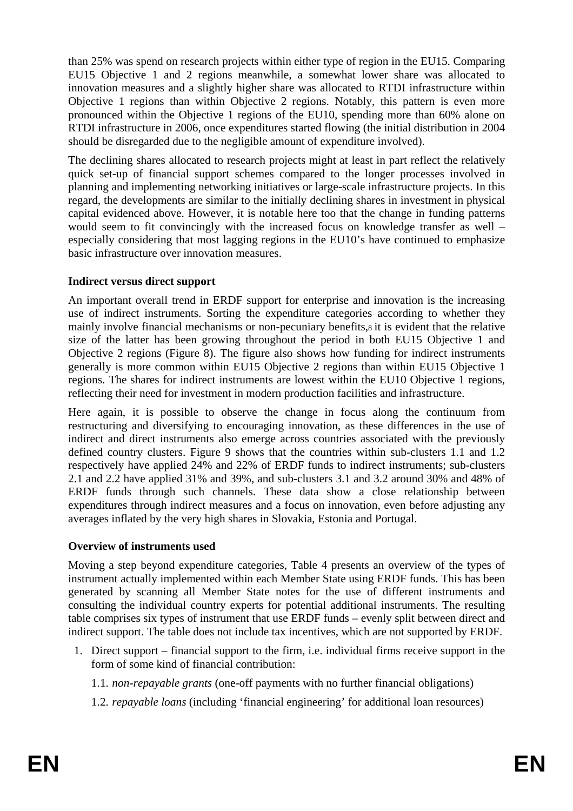than 25% was spend on research projects within either type of region in the EU15. Comparing EU15 Objective 1 and 2 regions meanwhile, a somewhat lower share was allocated to innovation measures and a slightly higher share was allocated to RTDI infrastructure within Objective 1 regions than within Objective 2 regions. Notably, this pattern is even more pronounced within the Objective 1 regions of the EU10, spending more than 60% alone on RTDI infrastructure in 2006, once expenditures started flowing (the initial distribution in 2004 should be disregarded due to the negligible amount of expenditure involved).

The declining shares allocated to research projects might at least in part reflect the relatively quick set-up of financial support schemes compared to the longer processes involved in planning and implementing networking initiatives or large-scale infrastructure projects. In this regard, the developments are similar to the initially declining shares in investment in physical capital evidenced above. However, it is notable here too that the change in funding patterns would seem to fit convincingly with the increased focus on knowledge transfer as well – especially considering that most lagging regions in the EU10's have continued to emphasize basic infrastructure over innovation measures.

# **Indirect versus direct support**

An important overall trend in ERDF support for enterprise and innovation is the increasing use of indirect instruments. Sorting the expenditure categories according to whether they mainly involve financial mechanisms or non-pecuniary benefits,8 it is evident that the relative size of the latter has been growing throughout the period in both EU15 Objective 1 and Objective 2 regions (Figure 8). The figure also shows how funding for indirect instruments generally is more common within EU15 Objective 2 regions than within EU15 Objective 1 regions. The shares for indirect instruments are lowest within the EU10 Objective 1 regions, reflecting their need for investment in modern production facilities and infrastructure.

Here again, it is possible to observe the change in focus along the continuum from restructuring and diversifying to encouraging innovation, as these differences in the use of indirect and direct instruments also emerge across countries associated with the previously defined country clusters. Figure 9 shows that the countries within sub-clusters 1.1 and 1.2 respectively have applied 24% and 22% of ERDF funds to indirect instruments; sub-clusters 2.1 and 2.2 have applied 31% and 39%, and sub-clusters 3.1 and 3.2 around 30% and 48% of ERDF funds through such channels. These data show a close relationship between expenditures through indirect measures and a focus on innovation, even before adjusting any averages inflated by the very high shares in Slovakia, Estonia and Portugal.

#### **Overview of instruments used**

Moving a step beyond expenditure categories, Table 4 presents an overview of the types of instrument actually implemented within each Member State using ERDF funds. This has been generated by scanning all Member State notes for the use of different instruments and consulting the individual country experts for potential additional instruments. The resulting table comprises six types of instrument that use ERDF funds – evenly split between direct and indirect support. The table does not include tax incentives, which are not supported by ERDF.

- 1. Direct support financial support to the firm, i.e. individual firms receive support in the form of some kind of financial contribution:
	- 1.1. *non-repayable grants* (one-off payments with no further financial obligations)
	- 1.2. *repayable loans* (including 'financial engineering' for additional loan resources)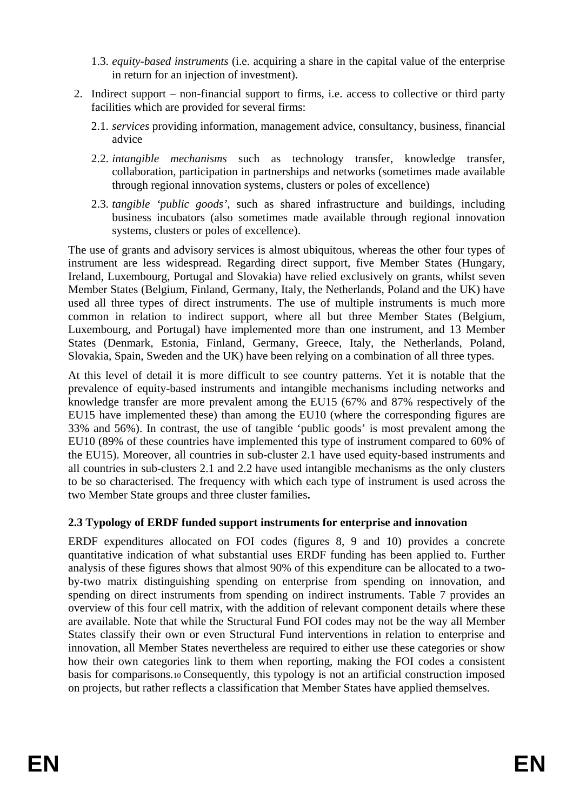- 1.3. *equity-based instruments* (i.e. acquiring a share in the capital value of the enterprise in return for an injection of investment).
- 2. Indirect support non-financial support to firms, i.e. access to collective or third party facilities which are provided for several firms:
	- 2.1. *services* providing information, management advice, consultancy, business, financial advice
	- 2.2. *intangible mechanisms* such as technology transfer, knowledge transfer, collaboration, participation in partnerships and networks (sometimes made available through regional innovation systems, clusters or poles of excellence)
	- 2.3. *tangible 'public goods'*, such as shared infrastructure and buildings, including business incubators (also sometimes made available through regional innovation systems, clusters or poles of excellence).

The use of grants and advisory services is almost ubiquitous, whereas the other four types of instrument are less widespread. Regarding direct support, five Member States (Hungary, Ireland, Luxembourg, Portugal and Slovakia) have relied exclusively on grants, whilst seven Member States (Belgium, Finland, Germany, Italy, the Netherlands, Poland and the UK) have used all three types of direct instruments. The use of multiple instruments is much more common in relation to indirect support, where all but three Member States (Belgium, Luxembourg, and Portugal) have implemented more than one instrument, and 13 Member States (Denmark, Estonia, Finland, Germany, Greece, Italy, the Netherlands, Poland, Slovakia, Spain, Sweden and the UK) have been relying on a combination of all three types.

At this level of detail it is more difficult to see country patterns. Yet it is notable that the prevalence of equity-based instruments and intangible mechanisms including networks and knowledge transfer are more prevalent among the EU15 (67% and 87% respectively of the EU15 have implemented these) than among the EU10 (where the corresponding figures are 33% and 56%). In contrast, the use of tangible 'public goods' is most prevalent among the EU10 (89% of these countries have implemented this type of instrument compared to 60% of the EU15). Moreover, all countries in sub-cluster 2.1 have used equity-based instruments and all countries in sub-clusters 2.1 and 2.2 have used intangible mechanisms as the only clusters to be so characterised. The frequency with which each type of instrument is used across the two Member State groups and three cluster families**.**

# **2.3 Typology of ERDF funded support instruments for enterprise and innovation**

ERDF expenditures allocated on FOI codes (figures 8, 9 and 10) provides a concrete quantitative indication of what substantial uses ERDF funding has been applied to. Further analysis of these figures shows that almost 90% of this expenditure can be allocated to a twoby-two matrix distinguishing spending on enterprise from spending on innovation, and spending on direct instruments from spending on indirect instruments. Table 7 provides an overview of this four cell matrix, with the addition of relevant component details where these are available. Note that while the Structural Fund FOI codes may not be the way all Member States classify their own or even Structural Fund interventions in relation to enterprise and innovation, all Member States nevertheless are required to either use these categories or show how their own categories link to them when reporting, making the FOI codes a consistent basis for comparisons.10 Consequently, this typology is not an artificial construction imposed on projects, but rather reflects a classification that Member States have applied themselves.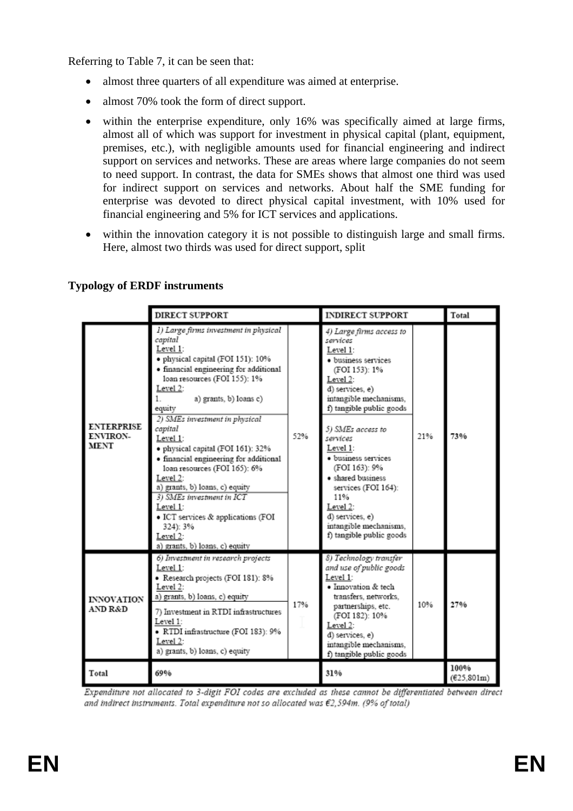Referring to Table 7, it can be seen that:

- almost three quarters of all expenditure was aimed at enterprise.
- almost 70% took the form of direct support.
- within the enterprise expenditure, only 16% was specifically aimed at large firms, almost all of which was support for investment in physical capital (plant, equipment, premises, etc.), with negligible amounts used for financial engineering and indirect support on services and networks. These are areas where large companies do not seem to need support. In contrast, the data for SMEs shows that almost one third was used for indirect support on services and networks. About half the SME funding for enterprise was devoted to direct physical capital investment, with 10% used for financial engineering and 5% for ICT services and applications.
- within the innovation category it is not possible to distinguish large and small firms. Here, almost two thirds was used for direct support, split

|                                                     | DIRECT SUPPORT                                                                                                                                                                                                                                                                                                                                                                                                                                                                                                                                                                                   |     | <b>INDIRECT SUPPORT</b>                                                                                                                                                                                                                                                                                                                                                                                    |     | Total               |
|-----------------------------------------------------|--------------------------------------------------------------------------------------------------------------------------------------------------------------------------------------------------------------------------------------------------------------------------------------------------------------------------------------------------------------------------------------------------------------------------------------------------------------------------------------------------------------------------------------------------------------------------------------------------|-----|------------------------------------------------------------------------------------------------------------------------------------------------------------------------------------------------------------------------------------------------------------------------------------------------------------------------------------------------------------------------------------------------------------|-----|---------------------|
| <b>ENTERPRISE</b><br><b>ENVIRON-</b><br><b>MENT</b> | 1) Large firms investment in physical<br>capital<br>Level 1:<br>· physical capital (FOI 151): 10%<br>· financial engineering for additional<br>loan resources (FOI 155): 1%<br>Level 2:<br>a) grants, b) loans c)<br>1.<br>equity<br>2) SMEs investment in physical<br>capital<br>Level 1:<br>· physical capital (FOI 161): 32%<br>· financial engineering for additional<br>loan resources (FOI 165): 6%<br>Level 2:<br>a) grants, b) loans, c) equity<br>3) SMEs investment in ICT<br>Level 1:<br>· ICT services & applications (FOI<br>324): 3%<br>Level 2:<br>a) grants, b) loans, c) equity | 52% | 4) Large firms access to<br>services<br>Level 1:<br>· business services<br>(FOI 153): 1%<br>Level 2:<br>d) services, e)<br>intangible mechanisms.<br>f) tangible public goods<br>5) SMEs access to<br>services<br>Level 1:<br>· business services<br>(FOI 163): 9%<br>· shared business<br>services (FOI 164):<br>11%<br>Level 2:<br>d) services, e)<br>intangible mechanisms,<br>f) tangible public goods | 21% | 73%                 |
| <b>INNOVATION</b><br><b>AND R&amp;D</b>             | 6) Investment in research projects<br>Level 1:<br>· Research projects (FOI 181): 8%<br>Level 2:<br>a) grants, b) loans, c) equity<br>17%<br>7) Investment in RTDI infrastructures<br>Level 1:<br>· RTDI infrastructure (FOI 183): 9%<br>Level 2:<br>a) grants, b) loans, c) equity                                                                                                                                                                                                                                                                                                               |     | 8) Technology transfer<br>and use of public goods<br>Level 1:<br>· Innovation & tech<br>transfers, networks,<br>10%<br>partnerships, etc.<br>(FOI 182): 10%<br>Level 2:<br>d) services, e)<br>intangible mechanisms,<br>f) tangible public goods                                                                                                                                                           |     | 27%                 |
| Total                                               | 69%                                                                                                                                                                                                                                                                                                                                                                                                                                                                                                                                                                                              |     | 31%                                                                                                                                                                                                                                                                                                                                                                                                        |     | 100%<br>(625, 801m) |

# **Typology of ERDF instruments**

Expenditure not allocated to 3-digit FOI codes are excluded as these cannot be differentiated between direct and indirect instruments. Total expenditure not so allocated was €2,594m. (9% of total)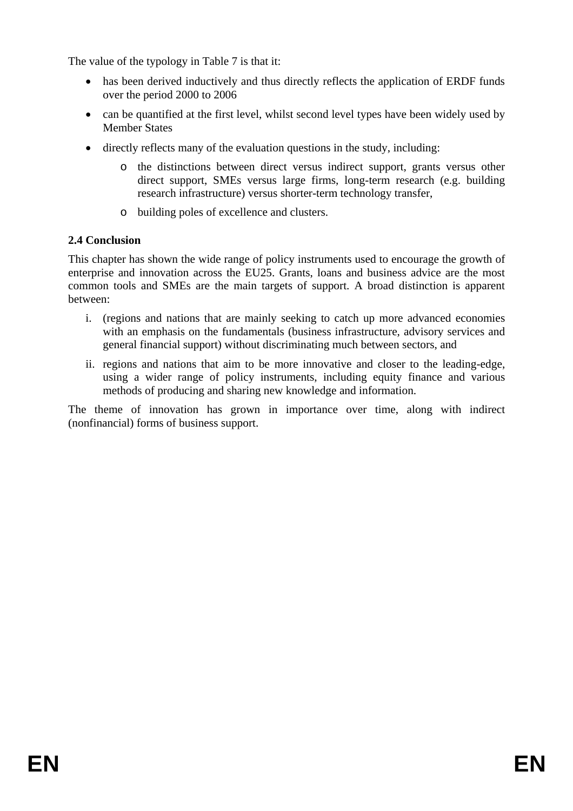The value of the typology in Table 7 is that it:

- has been derived inductively and thus directly reflects the application of ERDF funds over the period 2000 to 2006
- can be quantified at the first level, whilst second level types have been widely used by Member States
- directly reflects many of the evaluation questions in the study, including:
	- o the distinctions between direct versus indirect support, grants versus other direct support, SMEs versus large firms, long-term research (e.g. building research infrastructure) versus shorter-term technology transfer,
	- o building poles of excellence and clusters.

### **2.4 Conclusion**

This chapter has shown the wide range of policy instruments used to encourage the growth of enterprise and innovation across the EU25. Grants, loans and business advice are the most common tools and SMEs are the main targets of support. A broad distinction is apparent between:

- i. (regions and nations that are mainly seeking to catch up more advanced economies with an emphasis on the fundamentals (business infrastructure, advisory services and general financial support) without discriminating much between sectors, and
- ii. regions and nations that aim to be more innovative and closer to the leading-edge, using a wider range of policy instruments, including equity finance and various methods of producing and sharing new knowledge and information.

The theme of innovation has grown in importance over time, along with indirect (nonfinancial) forms of business support.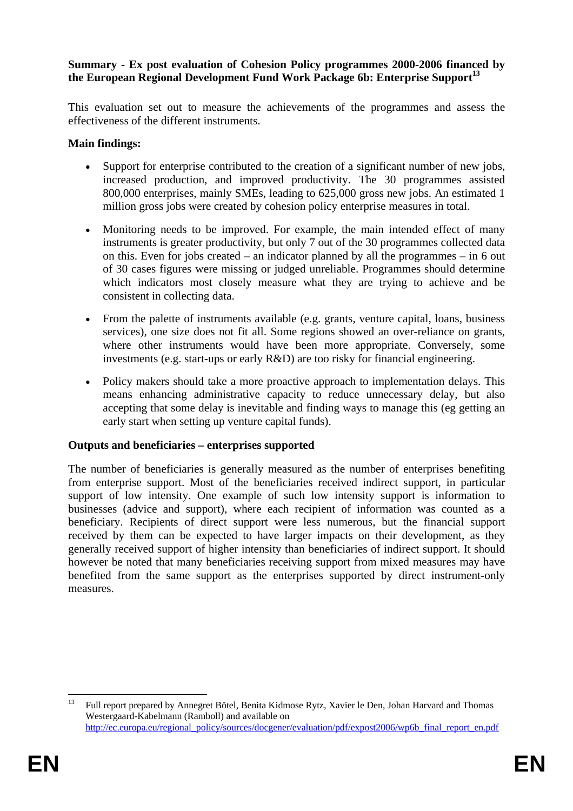#### **Summary - Ex post evaluation of Cohesion Policy programmes 2000-2006 financed by**  the European Regional Development Fund Work Package 6b: Enterprise Support<sup>13</sup>

This evaluation set out to measure the achievements of the programmes and assess the effectiveness of the different instruments.

#### **Main findings:**

- Support for enterprise contributed to the creation of a significant number of new jobs, increased production, and improved productivity. The 30 programmes assisted 800,000 enterprises, mainly SMEs, leading to 625,000 gross new jobs. An estimated 1 million gross jobs were created by cohesion policy enterprise measures in total.
- Monitoring needs to be improved. For example, the main intended effect of many instruments is greater productivity, but only 7 out of the 30 programmes collected data on this. Even for jobs created – an indicator planned by all the programmes – in 6 out of 30 cases figures were missing or judged unreliable. Programmes should determine which indicators most closely measure what they are trying to achieve and be consistent in collecting data.
- From the palette of instruments available (e.g. grants, venture capital, loans, business services), one size does not fit all. Some regions showed an over-reliance on grants, where other instruments would have been more appropriate. Conversely, some investments (e.g. start-ups or early R&D) are too risky for financial engineering.
- Policy makers should take a more proactive approach to implementation delays. This means enhancing administrative capacity to reduce unnecessary delay, but also accepting that some delay is inevitable and finding ways to manage this (eg getting an early start when setting up venture capital funds).

#### **Outputs and beneficiaries – enterprises supported**

The number of beneficiaries is generally measured as the number of enterprises benefiting from enterprise support. Most of the beneficiaries received indirect support, in particular support of low intensity. One example of such low intensity support is information to businesses (advice and support), where each recipient of information was counted as a beneficiary. Recipients of direct support were less numerous, but the financial support received by them can be expected to have larger impacts on their development, as they generally received support of higher intensity than beneficiaries of indirect support. It should however be noted that many beneficiaries receiving support from mixed measures may have benefited from the same support as the enterprises supported by direct instrument-only measures.

 $13$ <sup>13</sup> Full report prepared by Annegret Bötel, Benita Kidmose Rytz, Xavier le Den, Johan Harvard and Thomas Westergaard-Kabelmann (Ramboll) and available on [http://ec.europa.eu/regional\\_policy/sources/docgener/evaluation/pdf/expost2006/wp6b\\_final\\_report\\_en.pdf](http://ec.europa.eu/regional_policy/sources/docgener/evaluation/pdf/expost2006/wp6b_final_report_en.pdf)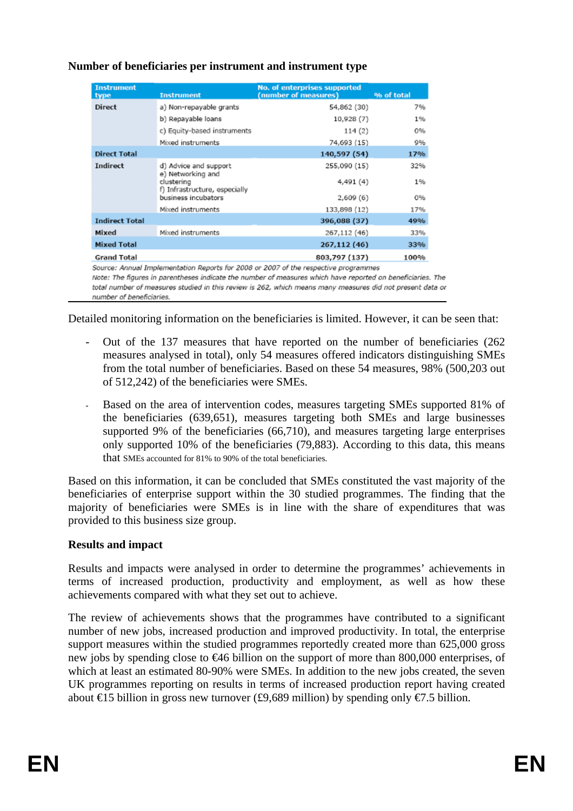| <b>Instrument</b><br>type                                                           | <b>Instrument</b>                           | <b>No. of enterprises supported</b><br>(number of measures) | % of total |  |  |
|-------------------------------------------------------------------------------------|---------------------------------------------|-------------------------------------------------------------|------------|--|--|
| <b>Direct</b>                                                                       | a) Non-repayable grants                     | 54,862 (30)                                                 | 7%         |  |  |
|                                                                                     | b) Repayable loans                          | 10,928 (7)                                                  | 1%         |  |  |
|                                                                                     | c) Equity-based instruments                 | 114(2)                                                      | 0%         |  |  |
|                                                                                     | Mixed instruments                           | 74,693 (15)                                                 | 9%         |  |  |
| <b>Direct Total</b>                                                                 |                                             | 140,597 (54)                                                | 17%        |  |  |
| <b>Indirect</b>                                                                     | d) Advice and support<br>e) Networking and  | 255,090 (15)                                                | 32%        |  |  |
|                                                                                     | clustering<br>f) Infrastructure, especially | 4,491 (4)                                                   | 1%         |  |  |
|                                                                                     | business incubators                         | 2,609(6)                                                    | 0%         |  |  |
|                                                                                     | Mixed instruments                           | 133,898 (12)                                                | 17%        |  |  |
| <b>Indirect Total</b>                                                               |                                             | 396,088 (37)                                                | 49%        |  |  |
| Mixed                                                                               | Mixed instruments                           | 267,112 (46)                                                | 33%        |  |  |
| <b>Mixed Total</b>                                                                  |                                             | 267,112 (46)                                                | 33%        |  |  |
| <b>Grand Total</b>                                                                  |                                             | 803,797 (137)                                               | 100%       |  |  |
| Source: Annual Implementation Penorts for 2008 or 2007 of the respective programmes |                                             |                                                             |            |  |  |

# **Number of beneficiaries per instrument and instrument type**

Note: The figures in parentheses indicate the number of measures which have reported on beneficiaries. The total number of measures studied in this review is 262, which means many measures did not present data or number of beneficiaries.

Detailed monitoring information on the beneficiaries is limited. However, it can be seen that:

- Out of the 137 measures that have reported on the number of beneficiaries (262) measures analysed in total), only 54 measures offered indicators distinguishing SMEs from the total number of beneficiaries. Based on these 54 measures, 98% (500,203 out of 512,242) of the beneficiaries were SMEs.
- Based on the area of intervention codes, measures targeting SMEs supported 81% of the beneficiaries (639,651), measures targeting both SMEs and large businesses supported 9% of the beneficiaries (66,710), and measures targeting large enterprises only supported 10% of the beneficiaries (79,883). According to this data, this means that SMEs accounted for 81% to 90% of the total beneficiaries.

Based on this information, it can be concluded that SMEs constituted the vast majority of the beneficiaries of enterprise support within the 30 studied programmes. The finding that the majority of beneficiaries were SMEs is in line with the share of expenditures that was provided to this business size group.

# **Results and impact**

Results and impacts were analysed in order to determine the programmes' achievements in terms of increased production, productivity and employment, as well as how these achievements compared with what they set out to achieve.

The review of achievements shows that the programmes have contributed to a significant number of new jobs, increased production and improved productivity. In total, the enterprise support measures within the studied programmes reportedly created more than 625,000 gross new jobs by spending close to €46 billion on the support of more than 800,000 enterprises, of which at least an estimated 80-90% were SMEs. In addition to the new jobs created, the seven UK programmes reporting on results in terms of increased production report having created about €15 billion in gross new turnover (£9,689 million) by spending only €7.5 billion.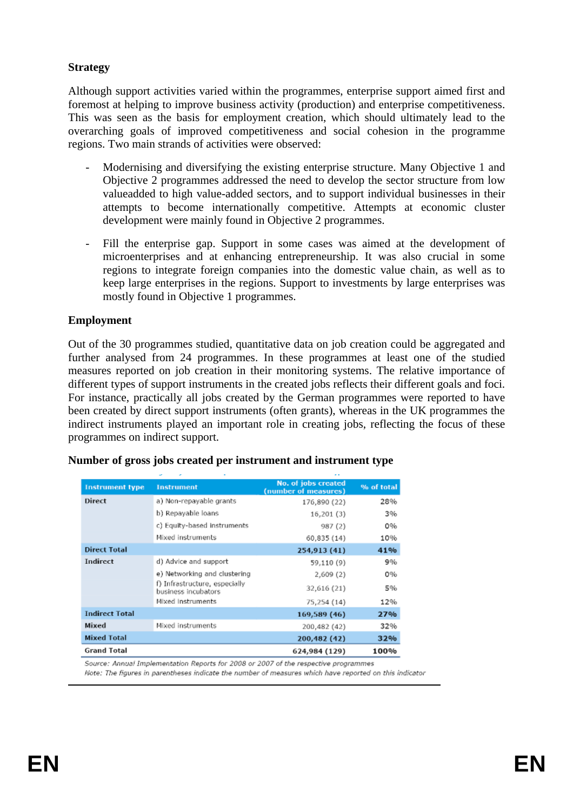### **Strategy**

Although support activities varied within the programmes, enterprise support aimed first and foremost at helping to improve business activity (production) and enterprise competitiveness. This was seen as the basis for employment creation, which should ultimately lead to the overarching goals of improved competitiveness and social cohesion in the programme regions. Two main strands of activities were observed:

- Modernising and diversifying the existing enterprise structure. Many Objective 1 and Objective 2 programmes addressed the need to develop the sector structure from low valueadded to high value-added sectors, and to support individual businesses in their attempts to become internationally competitive. Attempts at economic cluster development were mainly found in Objective 2 programmes.
- Fill the enterprise gap. Support in some cases was aimed at the development of microenterprises and at enhancing entrepreneurship. It was also crucial in some regions to integrate foreign companies into the domestic value chain, as well as to keep large enterprises in the regions. Support to investments by large enterprises was mostly found in Objective 1 programmes.

#### **Employment**

Out of the 30 programmes studied, quantitative data on job creation could be aggregated and further analysed from 24 programmes. In these programmes at least one of the studied measures reported on job creation in their monitoring systems. The relative importance of different types of support instruments in the created jobs reflects their different goals and foci. For instance, practically all jobs created by the German programmes were reported to have been created by direct support instruments (often grants), whereas in the UK programmes the indirect instruments played an important role in creating jobs, reflecting the focus of these programmes on indirect support.

| <b>Instrument type</b> | <b>Instrument</b>                                    | No. of jobs created<br>(number of measures) | % of total |
|------------------------|------------------------------------------------------|---------------------------------------------|------------|
| <b>Direct</b>          | a) Non-repayable grants                              | 176,890 (22)                                | 28%        |
|                        | b) Repayable loans                                   | 16,201 (3)                                  | 3%         |
|                        | c) Equity-based instruments                          | 987 (2)                                     | 0%         |
|                        | Mixed instruments                                    | 60,835 (14)                                 | 10%        |
| <b>Direct Total</b>    |                                                      | 254,913 (41)                                | 41%        |
| Indirect               | d) Advice and support                                | 59,110 (9)                                  | 9%         |
|                        | e) Networking and clustering                         | 2,609(2)                                    | 0%         |
|                        | f) Infrastructure, especially<br>business incubators | 32,616 (21)                                 | 5%         |
|                        | Mixed Instruments                                    | 75,254 (14)                                 | 12%        |
| <b>Indirect Total</b>  |                                                      | 169,589 (46)                                | 27%        |
| Mixed                  | Mixed instruments                                    | 200,482 (42)                                | 32%        |
| <b>Mixed Total</b>     |                                                      | 200,482 (42)                                | 32%        |
| <b>Grand Total</b>     |                                                      | 624,984 (129)                               | 100%       |

#### **Number of gross jobs created per instrument and instrument type**

Source: Annual Implementation Reports for 2008 or 2007 of the respective programmes

Note: The figures in parentheses indicate the number of measures which have reported on this indicator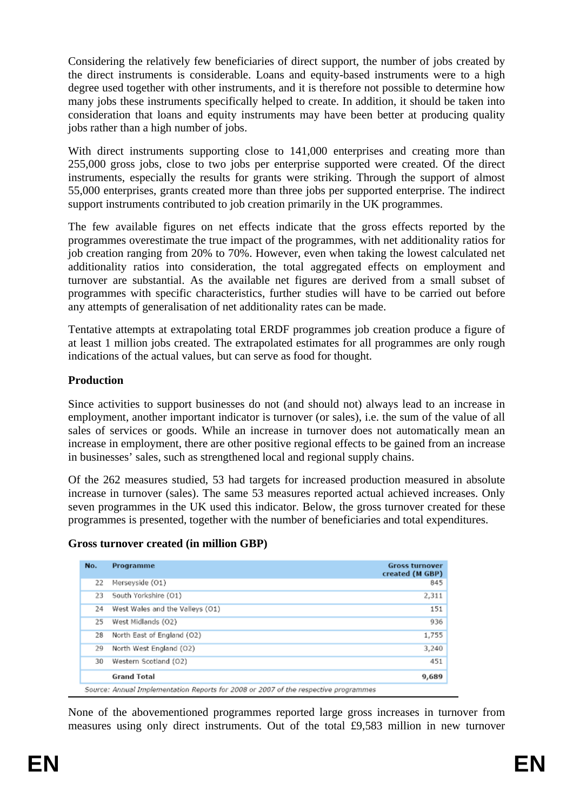Considering the relatively few beneficiaries of direct support, the number of jobs created by the direct instruments is considerable. Loans and equity-based instruments were to a high degree used together with other instruments, and it is therefore not possible to determine how many jobs these instruments specifically helped to create. In addition, it should be taken into consideration that loans and equity instruments may have been better at producing quality jobs rather than a high number of jobs.

With direct instruments supporting close to 141,000 enterprises and creating more than 255,000 gross jobs, close to two jobs per enterprise supported were created. Of the direct instruments, especially the results for grants were striking. Through the support of almost 55,000 enterprises, grants created more than three jobs per supported enterprise. The indirect support instruments contributed to job creation primarily in the UK programmes.

The few available figures on net effects indicate that the gross effects reported by the programmes overestimate the true impact of the programmes, with net additionality ratios for job creation ranging from 20% to 70%. However, even when taking the lowest calculated net additionality ratios into consideration, the total aggregated effects on employment and turnover are substantial. As the available net figures are derived from a small subset of programmes with specific characteristics, further studies will have to be carried out before any attempts of generalisation of net additionality rates can be made.

Tentative attempts at extrapolating total ERDF programmes job creation produce a figure of at least 1 million jobs created. The extrapolated estimates for all programmes are only rough indications of the actual values, but can serve as food for thought.

# **Production**

Since activities to support businesses do not (and should not) always lead to an increase in employment, another important indicator is turnover (or sales), i.e. the sum of the value of all sales of services or goods. While an increase in turnover does not automatically mean an increase in employment, there are other positive regional effects to be gained from an increase in businesses' sales, such as strengthened local and regional supply chains.

Of the 262 measures studied, 53 had targets for increased production measured in absolute increase in turnover (sales). The same 53 measures reported actual achieved increases. Only seven programmes in the UK used this indicator. Below, the gross turnover created for these programmes is presented, together with the number of beneficiaries and total expenditures.

#### **Gross turnover created (in million GBP)**

| No. | Programme                                                                           | <b>Gross turnover</b><br>created (M GBP) |
|-----|-------------------------------------------------------------------------------------|------------------------------------------|
| 22  | Merseyside (O1)                                                                     | 845                                      |
| 23  | South Yorkshire (O1)                                                                | 2,311                                    |
| 24  | West Wales and the Valleys (O1)                                                     | 151                                      |
| 25  | West Midlands (O2)                                                                  | 936                                      |
| 28  | North East of England (O2)                                                          | 1,755                                    |
| 29  | North West England (O2)                                                             | 3,240                                    |
| 30  | Western Scotland (O2)                                                               | 451                                      |
|     | <b>Grand Total</b>                                                                  | 9,689                                    |
|     | Source: Annual Implementation Reports for 2008 or 2007 of the respective programmes |                                          |

None of the abovementioned programmes reported large gross increases in turnover from measures using only direct instruments. Out of the total £9,583 million in new turnover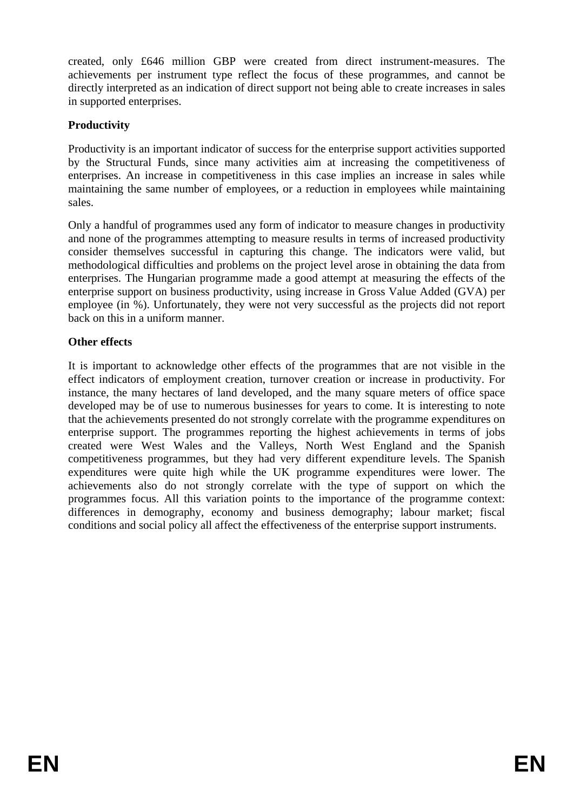created, only £646 million GBP were created from direct instrument-measures. The achievements per instrument type reflect the focus of these programmes, and cannot be directly interpreted as an indication of direct support not being able to create increases in sales in supported enterprises.

# **Productivity**

Productivity is an important indicator of success for the enterprise support activities supported by the Structural Funds, since many activities aim at increasing the competitiveness of enterprises. An increase in competitiveness in this case implies an increase in sales while maintaining the same number of employees, or a reduction in employees while maintaining sales.

Only a handful of programmes used any form of indicator to measure changes in productivity and none of the programmes attempting to measure results in terms of increased productivity consider themselves successful in capturing this change. The indicators were valid, but methodological difficulties and problems on the project level arose in obtaining the data from enterprises. The Hungarian programme made a good attempt at measuring the effects of the enterprise support on business productivity, using increase in Gross Value Added (GVA) per employee (in %). Unfortunately, they were not very successful as the projects did not report back on this in a uniform manner.

# **Other effects**

It is important to acknowledge other effects of the programmes that are not visible in the effect indicators of employment creation, turnover creation or increase in productivity. For instance, the many hectares of land developed, and the many square meters of office space developed may be of use to numerous businesses for years to come. It is interesting to note that the achievements presented do not strongly correlate with the programme expenditures on enterprise support. The programmes reporting the highest achievements in terms of jobs created were West Wales and the Valleys, North West England and the Spanish competitiveness programmes, but they had very different expenditure levels. The Spanish expenditures were quite high while the UK programme expenditures were lower. The achievements also do not strongly correlate with the type of support on which the programmes focus. All this variation points to the importance of the programme context: differences in demography, economy and business demography; labour market; fiscal conditions and social policy all affect the effectiveness of the enterprise support instruments.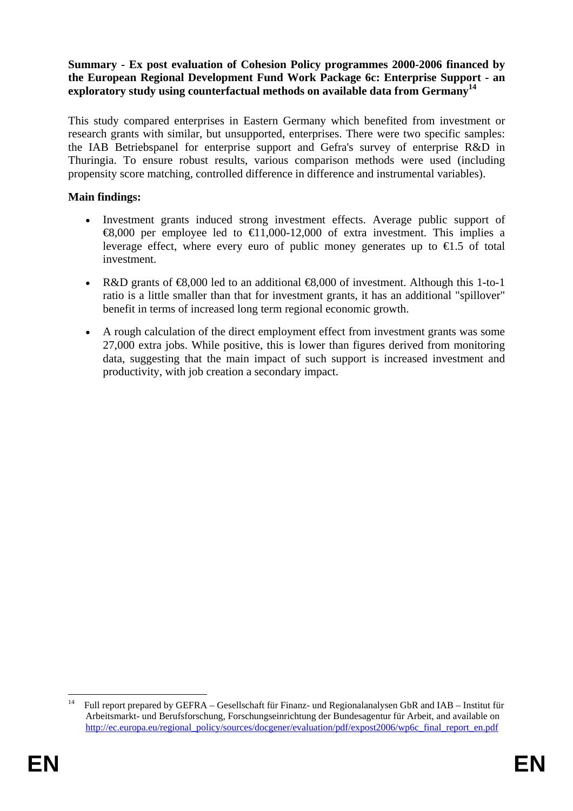#### **Summary - Ex post evaluation of Cohesion Policy programmes 2000-2006 financed by the European Regional Development Fund Work Package 6c: Enterprise Support - an exploratory study using counterfactual methods on available data from Germany14**

This study compared enterprises in Eastern Germany which benefited from investment or research grants with similar, but unsupported, enterprises. There were two specific samples: the IAB Betriebspanel for enterprise support and Gefra's survey of enterprise R&D in Thuringia. To ensure robust results, various comparison methods were used (including propensity score matching, controlled difference in difference and instrumental variables).

### **Main findings:**

- Investment grants induced strong investment effects. Average public support of €8,000 per employee led to €11,000-12,000 of extra investment. This implies a leverage effect, where every euro of public money generates up to  $\epsilon$ 1.5 of total investment.
- R&D grants of €8,000 led to an additional €8,000 of investment. Although this 1-to-1 ratio is a little smaller than that for investment grants, it has an additional "spillover" benefit in terms of increased long term regional economic growth.
- A rough calculation of the direct employment effect from investment grants was some 27,000 extra jobs. While positive, this is lower than figures derived from monitoring data, suggesting that the main impact of such support is increased investment and productivity, with job creation a secondary impact.

 $14$ 14 Full report prepared by GEFRA – Gesellschaft für Finanz- und Regionalanalysen GbR and IAB – Institut für Arbeitsmarkt- und Berufsforschung, Forschungseinrichtung der Bundesagentur für Arbeit, and available on [http://ec.europa.eu/regional\\_policy/sources/docgener/evaluation/pdf/expost2006/wp6c\\_final\\_report\\_en.pdf](http://ec.europa.eu/regional_policy/sources/docgener/evaluation/pdf/expost2006/wp6c_final_report_en.pdf)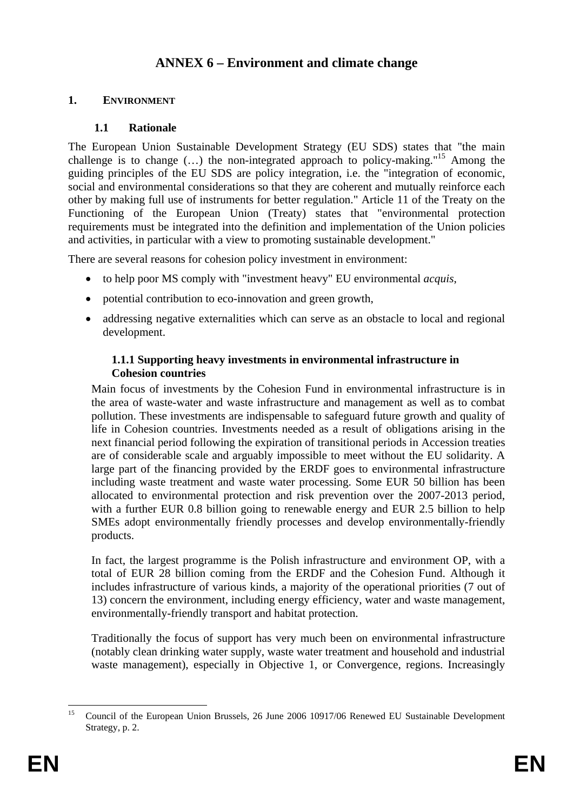# **ANNEX 6 – Environment and climate change**

# <span id="page-31-0"></span>**1. ENVIRONMENT**

# **1.1 Rationale**

The European Union Sustainable Development Strategy (EU SDS) states that "the main challenge is to change  $(...)$  the non-integrated approach to policy-making."<sup>15</sup> Among the guiding principles of the EU SDS are policy integration, i.e. the "integration of economic, social and environmental considerations so that they are coherent and mutually reinforce each other by making full use of instruments for better regulation." Article 11 of the Treaty on the Functioning of the European Union (Treaty) states that "environmental protection requirements must be integrated into the definition and implementation of the Union policies and activities, in particular with a view to promoting sustainable development."

There are several reasons for cohesion policy investment in environment:

- to help poor MS comply with "investment heavy" EU environmental *acquis*,
- potential contribution to eco-innovation and green growth,
- addressing negative externalities which can serve as an obstacle to local and regional development.

#### **1.1.1 Supporting heavy investments in environmental infrastructure in Cohesion countries**

Main focus of investments by the Cohesion Fund in environmental infrastructure is in the area of waste-water and waste infrastructure and management as well as to combat pollution. These investments are indispensable to safeguard future growth and quality of life in Cohesion countries. Investments needed as a result of obligations arising in the next financial period following the expiration of transitional periods in Accession treaties are of considerable scale and arguably impossible to meet without the EU solidarity. A large part of the financing provided by the ERDF goes to environmental infrastructure including waste treatment and waste water processing. Some EUR 50 billion has been allocated to environmental protection and risk prevention over the 2007-2013 period, with a further EUR 0.8 billion going to renewable energy and EUR 2.5 billion to help SMEs adopt environmentally friendly processes and develop environmentally-friendly products.

In fact, the largest programme is the Polish infrastructure and environment OP, with a total of EUR 28 billion coming from the ERDF and the Cohesion Fund. Although it includes infrastructure of various kinds, a majority of the operational priorities (7 out of 13) concern the environment, including energy efficiency, water and waste management, environmentally-friendly transport and habitat protection.

Traditionally the focus of support has very much been on environmental infrastructure (notably clean drinking water supply, waste water treatment and household and industrial waste management), especially in Objective 1, or Convergence, regions. Increasingly

 $15$ 15 Council of the European Union Brussels, 26 June 2006 10917/06 Renewed EU Sustainable Development Strategy, p. 2.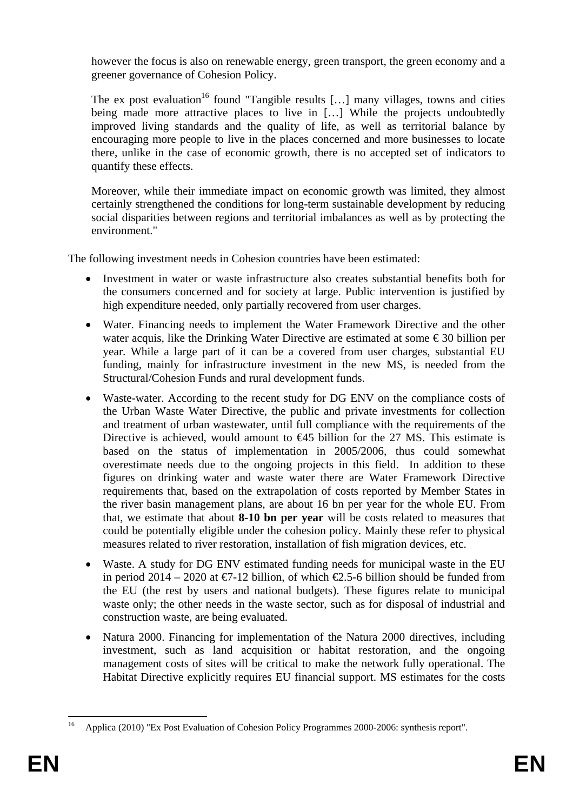however the focus is also on renewable energy, green transport, the green economy and a greener governance of Cohesion Policy.

The ex post evaluation<sup>16</sup> found "Tangible results  $[\dots]$  many villages, towns and cities being made more attractive places to live in [...] While the projects undoubtedly improved living standards and the quality of life, as well as territorial balance by encouraging more people to live in the places concerned and more businesses to locate there, unlike in the case of economic growth, there is no accepted set of indicators to quantify these effects.

Moreover, while their immediate impact on economic growth was limited, they almost certainly strengthened the conditions for long-term sustainable development by reducing social disparities between regions and territorial imbalances as well as by protecting the environment."

The following investment needs in Cohesion countries have been estimated:

- Investment in water or waste infrastructure also creates substantial benefits both for the consumers concerned and for society at large. Public intervention is justified by high expenditure needed, only partially recovered from user charges.
- Water. Financing needs to implement the Water Framework Directive and the other water acquis, like the Drinking Water Directive are estimated at some  $\epsilon$  30 billion per year. While a large part of it can be a covered from user charges, substantial EU funding, mainly for infrastructure investment in the new MS, is needed from the Structural/Cohesion Funds and rural development funds.
- Waste-water. According to the recent study for DG ENV on the compliance costs of the Urban Waste Water Directive, the public and private investments for collection and treatment of urban wastewater, until full compliance with the requirements of the Directive is achieved, would amount to  $\epsilon$ 45 billion for the 27 MS. This estimate is based on the status of implementation in 2005/2006, thus could somewhat overestimate needs due to the ongoing projects in this field. In addition to these figures on drinking water and waste water there are Water Framework Directive requirements that, based on the extrapolation of costs reported by Member States in the river basin management plans, are about 16 bn per year for the whole EU. From that, we estimate that about **8-10 bn per year** will be costs related to measures that could be potentially eligible under the cohesion policy. Mainly these refer to physical measures related to river restoration, installation of fish migration devices, etc.
- Waste. A study for DG ENV estimated funding needs for municipal waste in the EU in period 2014 – 2020 at  $\epsilon$ 7-12 billion, of which  $\epsilon$ 2.5-6 billion should be funded from the EU (the rest by users and national budgets). These figures relate to municipal waste only; the other needs in the waste sector, such as for disposal of industrial and construction waste, are being evaluated.
- Natura 2000. Financing for implementation of the Natura 2000 directives, including investment, such as land acquisition or habitat restoration, and the ongoing management costs of sites will be critical to make the network fully operational. The Habitat Directive explicitly requires EU financial support. MS estimates for the costs

1

<sup>16</sup> Applica (2010) "Ex Post Evaluation of Cohesion Policy Programmes 2000-2006: synthesis report".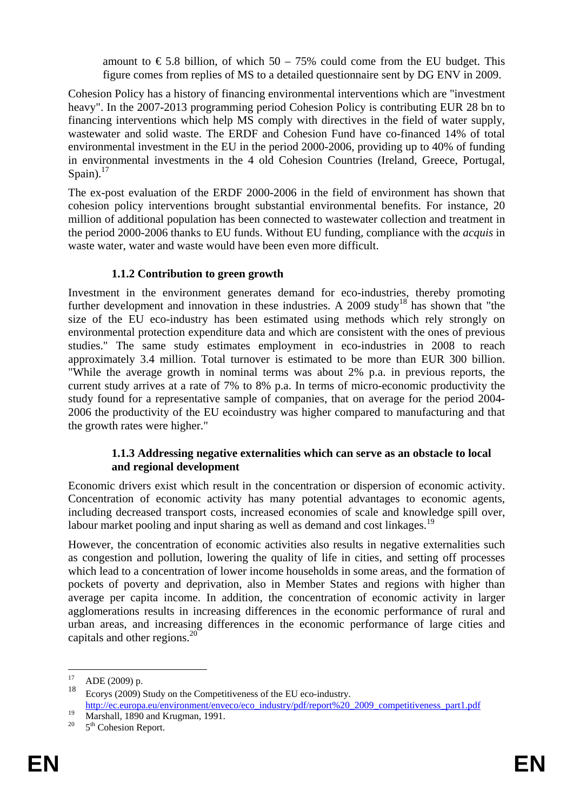amount to  $\epsilon$  5.8 billion, of which 50 – 75% could come from the EU budget. This figure comes from replies of MS to a detailed questionnaire sent by DG ENV in 2009.

Cohesion Policy has a history of financing environmental interventions which are "investment heavy". In the 2007-2013 programming period Cohesion Policy is contributing EUR 28 bn to financing interventions which help MS comply with directives in the field of water supply, wastewater and solid waste. The ERDF and Cohesion Fund have co-financed 14% of total environmental investment in the EU in the period 2000-2006, providing up to 40% of funding in environmental investments in the 4 old Cohesion Countries (Ireland, Greece, Portugal, Spain). $17$ 

The ex-post evaluation of the ERDF 2000-2006 in the field of environment has shown that cohesion policy interventions brought substantial environmental benefits. For instance, 20 million of additional population has been connected to wastewater collection and treatment in the period 2000-2006 thanks to EU funds. Without EU funding, compliance with the *acquis* in waste water, water and waste would have been even more difficult.

# **1.1.2 Contribution to green growth**

Investment in the environment generates demand for eco-industries, thereby promoting further development and innovation in these industries. A 2009 study<sup>18</sup> has shown that "the size of the EU eco-industry has been estimated using methods which rely strongly on environmental protection expenditure data and which are consistent with the ones of previous studies." The same study estimates employment in eco-industries in 2008 to reach approximately 3.4 million. Total turnover is estimated to be more than EUR 300 billion. "While the average growth in nominal terms was about 2% p.a. in previous reports, the current study arrives at a rate of 7% to 8% p.a. In terms of micro-economic productivity the study found for a representative sample of companies, that on average for the period 2004- 2006 the productivity of the EU ecoindustry was higher compared to manufacturing and that the growth rates were higher."

#### **1.1.3 Addressing negative externalities which can serve as an obstacle to local and regional development**

Economic drivers exist which result in the concentration or dispersion of economic activity. Concentration of economic activity has many potential advantages to economic agents, including decreased transport costs, increased economies of scale and knowledge spill over, labour market pooling and input sharing as well as demand and cost linkages.<sup>19</sup>

However, the concentration of economic activities also results in negative externalities such as congestion and pollution, lowering the quality of life in cities, and setting off processes which lead to a concentration of lower income households in some areas, and the formation of pockets of poverty and deprivation, also in Member States and regions with higher than average per capita income. In addition, the concentration of economic activity in larger agglomerations results in increasing differences in the economic performance of rural and urban areas, and increasing differences in the economic performance of large cities and capitals and other regions.20

 $17$  $^{17}$  ADE (2009) p.

Ecorys (2009) Study on the Competitiveness of the EU eco-industry. [http://ec.europa.eu/environment/enveco/eco\\_industry/pdf/report%20\\_2009\\_competitiveness\\_part1.pdf](http://ec.europa.eu/environment/enveco/eco_industry/pdf/report _2009_competitiveness_part1.pdf) Marshall, 1890 and Krugman, 1991.

 $5<sup>th</sup>$  Cohesion Report.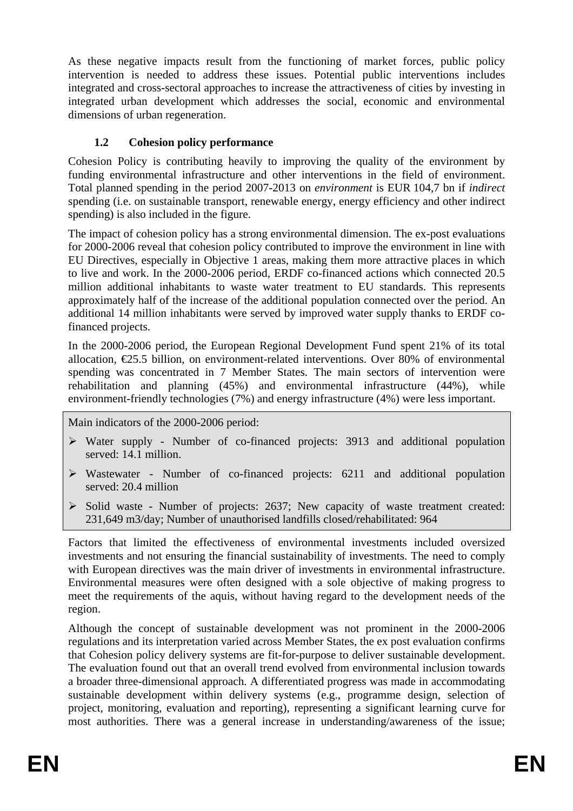As these negative impacts result from the functioning of market forces, public policy intervention is needed to address these issues. Potential public interventions includes integrated and cross-sectoral approaches to increase the attractiveness of cities by investing in integrated urban development which addresses the social, economic and environmental dimensions of urban regeneration.

# **1.2 Cohesion policy performance**

Cohesion Policy is contributing heavily to improving the quality of the environment by funding environmental infrastructure and other interventions in the field of environment. Total planned spending in the period 2007-2013 on *environment* is EUR 104,7 bn if *indirect* spending (i.e. on sustainable transport, renewable energy, energy efficiency and other indirect spending) is also included in the figure.

The impact of cohesion policy has a strong environmental dimension. The ex-post evaluations for 2000-2006 reveal that cohesion policy contributed to improve the environment in line with EU Directives, especially in Objective 1 areas, making them more attractive places in which to live and work. In the 2000-2006 period, ERDF co-financed actions which connected 20.5 million additional inhabitants to waste water treatment to EU standards. This represents approximately half of the increase of the additional population connected over the period. An additional 14 million inhabitants were served by improved water supply thanks to ERDF cofinanced projects.

In the 2000-2006 period, the European Regional Development Fund spent 21% of its total allocation, €25.5 billion, on environment-related interventions. Over 80% of environmental spending was concentrated in 7 Member States. The main sectors of intervention were rehabilitation and planning (45%) and environmental infrastructure (44%), while environment-friendly technologies (7%) and energy infrastructure (4%) were less important.

Main indicators of the 2000-2006 period:

- ¾ Water supply Number of co-financed projects: 3913 and additional population served: 14.1 million.
- $\triangleright$  Wastewater Number of co-financed projects: 6211 and additional population served: 20.4 million
- ¾ Solid waste Number of projects: 2637; New capacity of waste treatment created: 231,649 m3/day; Number of unauthorised landfills closed/rehabilitated: 964

Factors that limited the effectiveness of environmental investments included oversized investments and not ensuring the financial sustainability of investments. The need to comply with European directives was the main driver of investments in environmental infrastructure. Environmental measures were often designed with a sole objective of making progress to meet the requirements of the aquis, without having regard to the development needs of the region.

Although the concept of sustainable development was not prominent in the 2000-2006 regulations and its interpretation varied across Member States, the ex post evaluation confirms that Cohesion policy delivery systems are fit-for-purpose to deliver sustainable development. The evaluation found out that an overall trend evolved from environmental inclusion towards a broader three-dimensional approach. A differentiated progress was made in accommodating sustainable development within delivery systems (e.g., programme design, selection of project, monitoring, evaluation and reporting), representing a significant learning curve for most authorities. There was a general increase in understanding/awareness of the issue;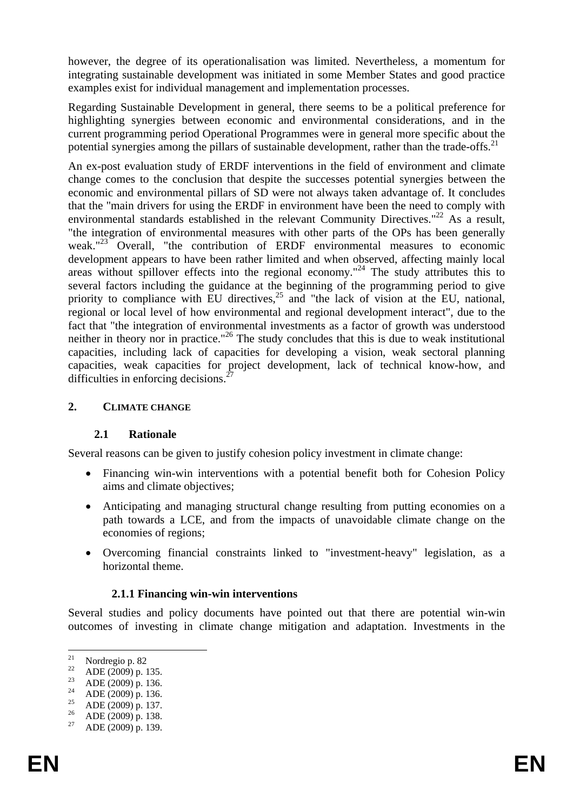however, the degree of its operationalisation was limited. Nevertheless, a momentum for integrating sustainable development was initiated in some Member States and good practice examples exist for individual management and implementation processes.

Regarding Sustainable Development in general, there seems to be a political preference for highlighting synergies between economic and environmental considerations, and in the current programming period Operational Programmes were in general more specific about the potential synergies among the pillars of sustainable development, rather than the trade-offs. $^{21}$ 

An ex-post evaluation study of ERDF interventions in the field of environment and climate change comes to the conclusion that despite the successes potential synergies between the economic and environmental pillars of SD were not always taken advantage of. It concludes that the "main drivers for using the ERDF in environment have been the need to comply with environmental standards established in the relevant Community Directives."<sup>22</sup> As a result, "the integration of environmental measures with other parts of the OPs has been generally weak."<sup>23</sup> Overall, "the contribution of ERDF environmental measures to economic development appears to have been rather limited and when observed, affecting mainly local areas without spillover effects into the regional economy."<sup>24</sup> The study attributes this to several factors including the guidance at the beginning of the programming period to give priority to compliance with EU directives,  $25$  and "the lack of vision at the EU, national, regional or local level of how environmental and regional development interact", due to the fact that "the integration of environmental investments as a factor of growth was understood neither in theory nor in practice."<sup>26</sup> The study concludes that this is due to weak institutional capacities, including lack of capacities for developing a vision, weak sectoral planning capacities, weak capacities for project development, lack of technical know-how, and difficulties in enforcing decisions.<sup>2</sup>

#### **2. CLIMATE CHANGE**

#### **2.1 Rationale**

Several reasons can be given to justify cohesion policy investment in climate change:

- Financing win-win interventions with a potential benefit both for Cohesion Policy aims and climate objectives;
- Anticipating and managing structural change resulting from putting economies on a path towards a LCE, and from the impacts of unavoidable climate change on the economies of regions;
- Overcoming financial constraints linked to "investment-heavy" legislation, as a horizontal theme.

#### **2.1.1 Financing win-win interventions**

Several studies and policy documents have pointed out that there are potential win-win outcomes of investing in climate change mitigation and adaptation. Investments in the

<sup>21</sup> <sup>21</sup> Nordregio p. 82<br><sup>22</sup>  $\Delta$  DE (2000)

 $^{22}$  ADE (2009) p. 135.

<sup>&</sup>lt;sup>23</sup> ADE (2009) p. 136.

<sup>&</sup>lt;sup>24</sup> ADE (2009) p. 136.

<sup>&</sup>lt;sup>25</sup> ADE (2009) p. 137.

 $^{26}$  ADE (2009) p. 138.

ADE (2009) p. 139.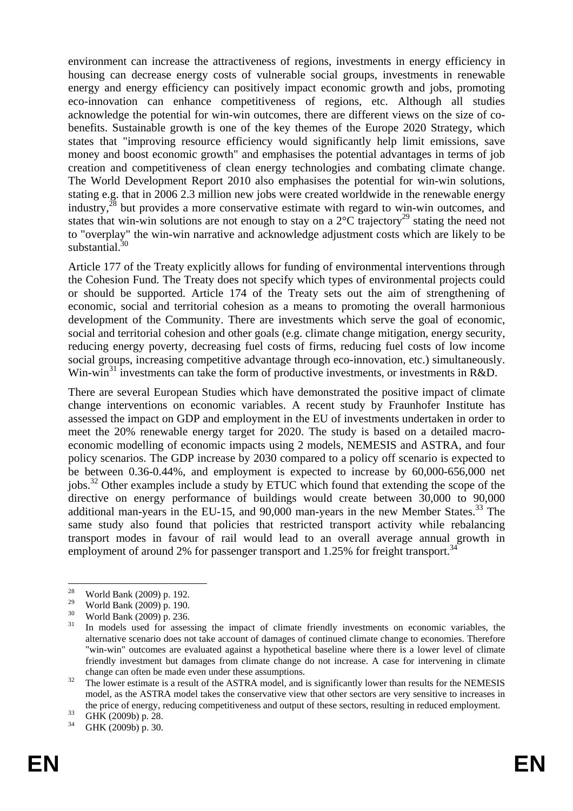environment can increase the attractiveness of regions, investments in energy efficiency in housing can decrease energy costs of vulnerable social groups, investments in renewable energy and energy efficiency can positively impact economic growth and jobs, promoting eco-innovation can enhance competitiveness of regions, etc. Although all studies acknowledge the potential for win-win outcomes, there are different views on the size of cobenefits. Sustainable growth is one of the key themes of the Europe 2020 Strategy, which states that "improving resource efficiency would significantly help limit emissions, save money and boost economic growth" and emphasises the potential advantages in terms of job creation and competitiveness of clean energy technologies and combating climate change. The World Development Report 2010 also emphasises the potential for win-win solutions, stating e.g. that in 2006 2.3 million new jobs were created worldwide in the renewable energy industry,<sup>28</sup> but provides a more conservative estimate with regard to win-win outcomes, and states that win-win solutions are not enough to stay on a  $2^{\circ}$ C trajectory<sup>29</sup> stating the need not to "overplay" the win-win narrative and acknowledge adjustment costs which are likely to be substantial.<sup>30</sup>

Article 177 of the Treaty explicitly allows for funding of environmental interventions through the Cohesion Fund. The Treaty does not specify which types of environmental projects could or should be supported. Article 174 of the Treaty sets out the aim of strengthening of economic, social and territorial cohesion as a means to promoting the overall harmonious development of the Community. There are investments which serve the goal of economic, social and territorial cohesion and other goals (e.g. climate change mitigation, energy security, reducing energy poverty, decreasing fuel costs of firms, reducing fuel costs of low income social groups, increasing competitive advantage through eco-innovation, etc.) simultaneously. Win-win<sup>31</sup> investments can take the form of productive investments, or investments in R&D.

There are several European Studies which have demonstrated the positive impact of climate change interventions on economic variables. A recent study by Fraunhofer Institute has assessed the impact on GDP and employment in the EU of investments undertaken in order to meet the 20% renewable energy target for 2020. The study is based on a detailed macroeconomic modelling of economic impacts using 2 models, NEMESIS and ASTRA, and four policy scenarios. The GDP increase by 2030 compared to a policy off scenario is expected to be between 0.36-0.44%, and employment is expected to increase by 60,000-656,000 net jobs.32 Other examples include a study by ETUC which found that extending the scope of the directive on energy performance of buildings would create between 30,000 to 90,000 additional man-years in the EU-15, and 90,000 man-years in the new Member States.<sup>33</sup> The same study also found that policies that restricted transport activity while rebalancing transport modes in favour of rail would lead to an overall average annual growth in employment of around 2% for passenger transport and 1.25% for freight transport.<sup>34</sup>

<sup>28</sup> <sup>28</sup> World Bank (2009) p. 192.

<sup>&</sup>lt;sup>29</sup> World Bank (2009) p. 190.

 $\frac{30}{31}$  World Bank (2009) p. 236.

In models used for assessing the impact of climate friendly investments on economic variables, the alternative scenario does not take account of damages of continued climate change to economies. Therefore "win-win" outcomes are evaluated against a hypothetical baseline where there is a lower level of climate friendly investment but damages from climate change do not increase. A case for intervening in climate change can often be made even under these assumptions. 32 The lower estimate is a result of the ASTRA model, and is significantly lower than results for the NEMESIS

model, as the ASTRA model takes the conservative view that other sectors are very sensitive to increases in the price of energy, reducing competitiveness and output of these sectors, resulting in reduced employment.<br>  $\frac{33}{\text{GHK}}$  (2009b) p. 28.

GHK (2009b) p. 30.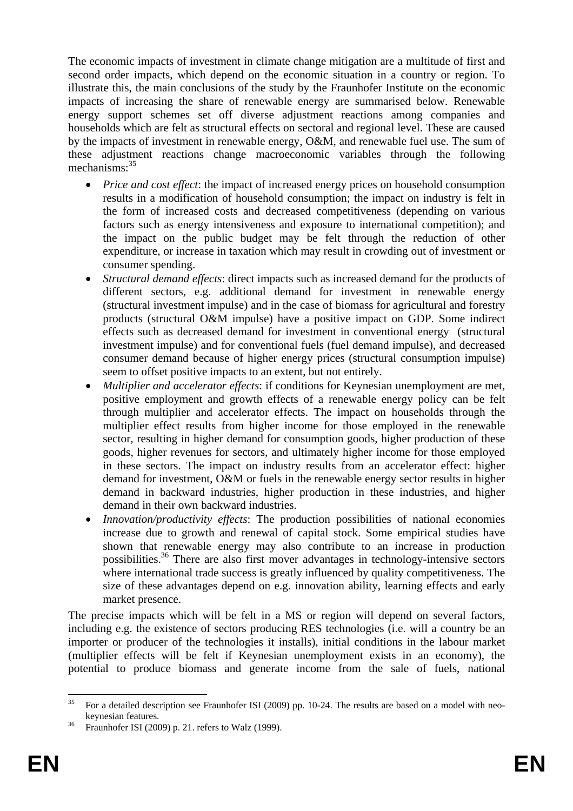The economic impacts of investment in climate change mitigation are a multitude of first and second order impacts, which depend on the economic situation in a country or region. To illustrate this, the main conclusions of the study by the Fraunhofer Institute on the economic impacts of increasing the share of renewable energy are summarised below. Renewable energy support schemes set off diverse adjustment reactions among companies and households which are felt as structural effects on sectoral and regional level. These are caused by the impacts of investment in renewable energy, O&M, and renewable fuel use. The sum of these adjustment reactions change macroeconomic variables through the following mechanisms:<sup>35</sup>

- *Price and cost effect*: the impact of increased energy prices on household consumption results in a modification of household consumption; the impact on industry is felt in the form of increased costs and decreased competitiveness (depending on various factors such as energy intensiveness and exposure to international competition); and the impact on the public budget may be felt through the reduction of other expenditure, or increase in taxation which may result in crowding out of investment or consumer spending.
- *Structural demand effects*: direct impacts such as increased demand for the products of different sectors, e.g. additional demand for investment in renewable energy (structural investment impulse) and in the case of biomass for agricultural and forestry products (structural O&M impulse) have a positive impact on GDP. Some indirect effects such as decreased demand for investment in conventional energy (structural investment impulse) and for conventional fuels (fuel demand impulse), and decreased consumer demand because of higher energy prices (structural consumption impulse) seem to offset positive impacts to an extent, but not entirely.
- *Multiplier and accelerator effects*: if conditions for Keynesian unemployment are met, positive employment and growth effects of a renewable energy policy can be felt through multiplier and accelerator effects. The impact on households through the multiplier effect results from higher income for those employed in the renewable sector, resulting in higher demand for consumption goods, higher production of these goods, higher revenues for sectors, and ultimately higher income for those employed in these sectors. The impact on industry results from an accelerator effect: higher demand for investment, O&M or fuels in the renewable energy sector results in higher demand in backward industries, higher production in these industries, and higher demand in their own backward industries.
- *Innovation/productivity effects*: The production possibilities of national economies increase due to growth and renewal of capital stock. Some empirical studies have shown that renewable energy may also contribute to an increase in production possibilities.36 There are also first mover advantages in technology-intensive sectors where international trade success is greatly influenced by quality competitiveness. The size of these advantages depend on e.g. innovation ability, learning effects and early market presence.

The precise impacts which will be felt in a MS or region will depend on several factors, including e.g. the existence of sectors producing RES technologies (i.e. will a country be an importer or producer of the technologies it installs), initial conditions in the labour market (multiplier effects will be felt if Keynesian unemployment exists in an economy), the potential to produce biomass and generate income from the sale of fuels, national

 $35$ 35 For a detailed description see Fraunhofer ISI (2009) pp. 10-24. The results are based on a model with neokeynesian features.<br><sup>36</sup> Fraunhofer ISI (2009) p. 21. refers to Walz (1999).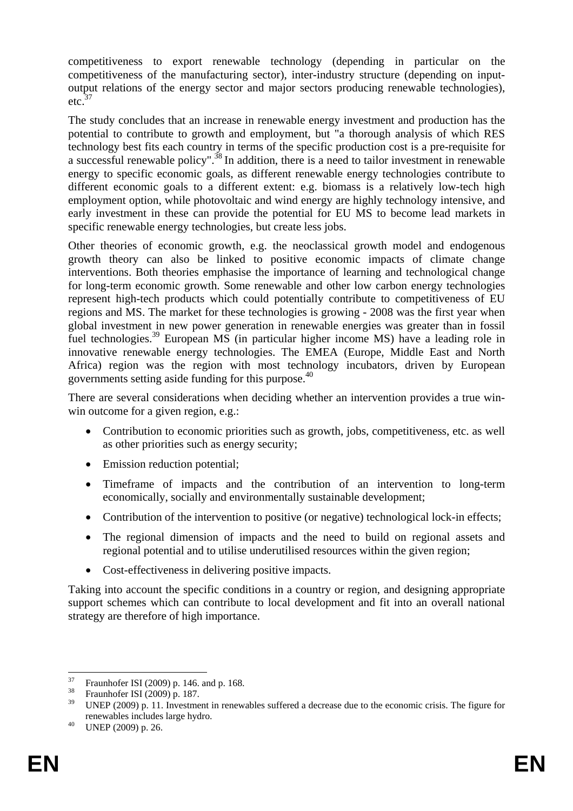competitiveness to export renewable technology (depending in particular on the competitiveness of the manufacturing sector), inter-industry structure (depending on inputoutput relations of the energy sector and major sectors producing renewable technologies),  $etc.<sup>37</sup>$ 

The study concludes that an increase in renewable energy investment and production has the potential to contribute to growth and employment, but "a thorough analysis of which RES technology best fits each country in terms of the specific production cost is a pre-requisite for a successful renewable policy".38 In addition, there is a need to tailor investment in renewable energy to specific economic goals, as different renewable energy technologies contribute to different economic goals to a different extent: e.g. biomass is a relatively low-tech high employment option, while photovoltaic and wind energy are highly technology intensive, and early investment in these can provide the potential for EU MS to become lead markets in specific renewable energy technologies, but create less jobs.

Other theories of economic growth, e.g. the neoclassical growth model and endogenous growth theory can also be linked to positive economic impacts of climate change interventions. Both theories emphasise the importance of learning and technological change for long-term economic growth. Some renewable and other low carbon energy technologies represent high-tech products which could potentially contribute to competitiveness of EU regions and MS. The market for these technologies is growing - 2008 was the first year when global investment in new power generation in renewable energies was greater than in fossil fuel technologies.39 European MS (in particular higher income MS) have a leading role in innovative renewable energy technologies. The EMEA (Europe, Middle East and North Africa) region was the region with most technology incubators, driven by European governments setting aside funding for this purpose.40

There are several considerations when deciding whether an intervention provides a true winwin outcome for a given region, e.g.:

- Contribution to economic priorities such as growth, jobs, competitiveness, etc. as well as other priorities such as energy security;
- Emission reduction potential;
- Timeframe of impacts and the contribution of an intervention to long-term economically, socially and environmentally sustainable development;
- Contribution of the intervention to positive (or negative) technological lock-in effects;
- The regional dimension of impacts and the need to build on regional assets and regional potential and to utilise underutilised resources within the given region;
- Cost-effectiveness in delivering positive impacts.

Taking into account the specific conditions in a country or region, and designing appropriate support schemes which can contribute to local development and fit into an overall national strategy are therefore of high importance.

 $37$  $^{37}$  Fraunhofer ISI (2009) p. 146. and p. 168.

 $^{38}$  Fraunhofer ISI (2009) p. 187.<br> $^{39}$  INED (2000) p. 11 Investment

UNEP (2009) p. 11. Investment in renewables suffered a decrease due to the economic crisis. The figure for renewables includes large hydro. 40 UNEP (2009) p. 26.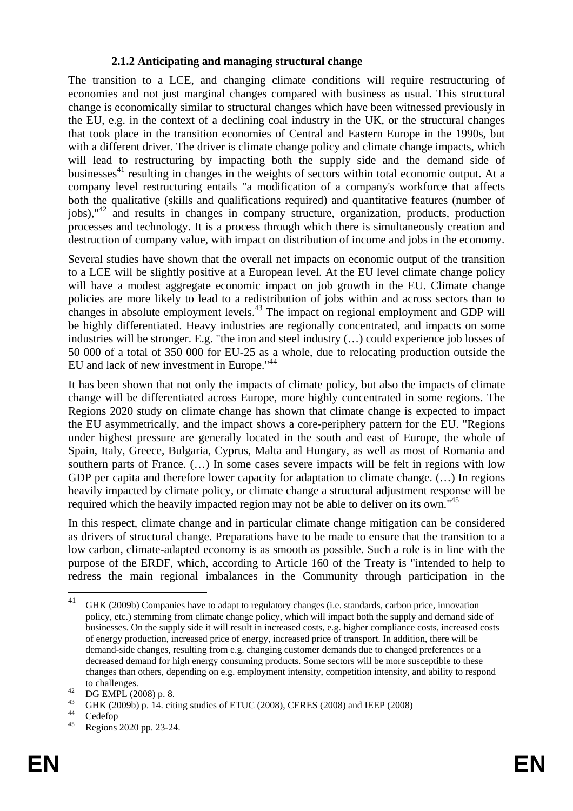#### **2.1.2 Anticipating and managing structural change**

The transition to a LCE, and changing climate conditions will require restructuring of economies and not just marginal changes compared with business as usual. This structural change is economically similar to structural changes which have been witnessed previously in the EU, e.g. in the context of a declining coal industry in the UK, or the structural changes that took place in the transition economies of Central and Eastern Europe in the 1990s, but with a different driver. The driver is climate change policy and climate change impacts, which will lead to restructuring by impacting both the supply side and the demand side of businesses $^{41}$  resulting in changes in the weights of sectors within total economic output. At a company level restructuring entails "a modification of a company's workforce that affects both the qualitative (skills and qualifications required) and quantitative features (number of  $jobs$ ),"<sup>42</sup> and results in changes in company structure, organization, products, production processes and technology. It is a process through which there is simultaneously creation and destruction of company value, with impact on distribution of income and jobs in the economy.

Several studies have shown that the overall net impacts on economic output of the transition to a LCE will be slightly positive at a European level. At the EU level climate change policy will have a modest aggregate economic impact on job growth in the EU. Climate change policies are more likely to lead to a redistribution of jobs within and across sectors than to changes in absolute employment levels.<sup>43</sup> The impact on regional employment and GDP will be highly differentiated. Heavy industries are regionally concentrated, and impacts on some industries will be stronger. E.g. "the iron and steel industry (…) could experience job losses of 50 000 of a total of 350 000 for EU-25 as a whole, due to relocating production outside the EU and lack of new investment in Europe."44

It has been shown that not only the impacts of climate policy, but also the impacts of climate change will be differentiated across Europe, more highly concentrated in some regions. The Regions 2020 study on climate change has shown that climate change is expected to impact the EU asymmetrically, and the impact shows a core-periphery pattern for the EU. "Regions under highest pressure are generally located in the south and east of Europe, the whole of Spain, Italy, Greece, Bulgaria, Cyprus, Malta and Hungary, as well as most of Romania and southern parts of France. (…) In some cases severe impacts will be felt in regions with low GDP per capita and therefore lower capacity for adaptation to climate change. (...) In regions heavily impacted by climate policy, or climate change a structural adjustment response will be required which the heavily impacted region may not be able to deliver on its own."45

In this respect, climate change and in particular climate change mitigation can be considered as drivers of structural change. Preparations have to be made to ensure that the transition to a low carbon, climate-adapted economy is as smooth as possible. Such a role is in line with the purpose of the ERDF, which, according to Article 160 of the Treaty is "intended to help to redress the main regional imbalances in the Community through participation in the

 $41$ <sup>41</sup> GHK (2009b) Companies have to adapt to regulatory changes (i.e. standards, carbon price, innovation policy, etc.) stemming from climate change policy, which will impact both the supply and demand side of businesses. On the supply side it will result in increased costs, e.g. higher compliance costs, increased costs of energy production, increased price of energy, increased price of transport. In addition, there will be demand-side changes, resulting from e.g. changing customer demands due to changed preferences or a decreased demand for high energy consuming products. Some sectors will be more susceptible to these changes than others, depending on e.g. employment intensity, competition intensity, and ability to respond

to challenges.<br> $^{42}$  DG EMPL (2008) p. 8.<br> $^{43}$  CUV (2009)

<sup>&</sup>lt;sup>43</sup> GHK (2009b) p. 14. citing studies of ETUC (2008), CERES (2008) and IEEP (2008)<br>Cedefop<br><sup>45</sup> Beginne 2020 pp. 23.24

<sup>45</sup> Regions 2020 pp. 23-24.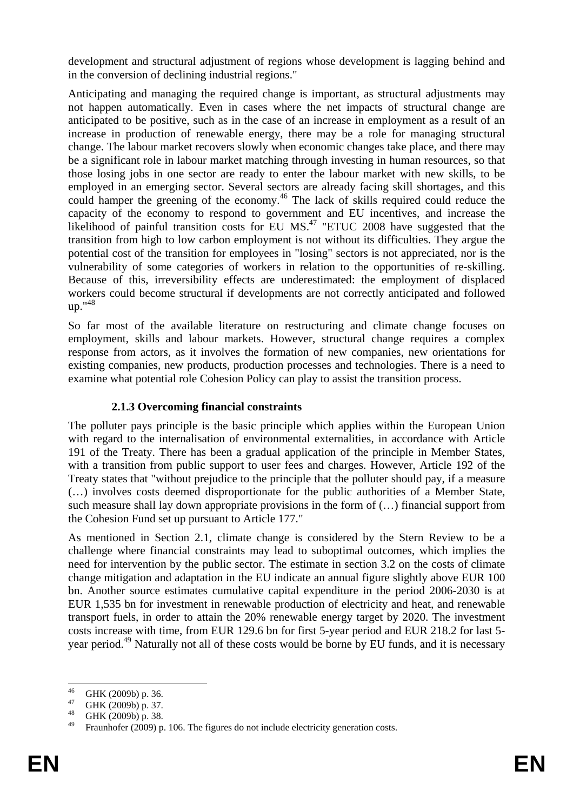development and structural adjustment of regions whose development is lagging behind and in the conversion of declining industrial regions."

Anticipating and managing the required change is important, as structural adjustments may not happen automatically. Even in cases where the net impacts of structural change are anticipated to be positive, such as in the case of an increase in employment as a result of an increase in production of renewable energy, there may be a role for managing structural change. The labour market recovers slowly when economic changes take place, and there may be a significant role in labour market matching through investing in human resources, so that those losing jobs in one sector are ready to enter the labour market with new skills, to be employed in an emerging sector. Several sectors are already facing skill shortages, and this could hamper the greening of the economy.<sup>46</sup> The lack of skills required could reduce the capacity of the economy to respond to government and EU incentives, and increase the likelihood of painful transition costs for EU  $MS<sup>47</sup>$  "ETUC 2008 have suggested that the transition from high to low carbon employment is not without its difficulties. They argue the potential cost of the transition for employees in "losing" sectors is not appreciated, nor is the vulnerability of some categories of workers in relation to the opportunities of re-skilling. Because of this, irreversibility effects are underestimated: the employment of displaced workers could become structural if developments are not correctly anticipated and followed up."48

So far most of the available literature on restructuring and climate change focuses on employment, skills and labour markets. However, structural change requires a complex response from actors, as it involves the formation of new companies, new orientations for existing companies, new products, production processes and technologies. There is a need to examine what potential role Cohesion Policy can play to assist the transition process.

# **2.1.3 Overcoming financial constraints**

The polluter pays principle is the basic principle which applies within the European Union with regard to the internalisation of environmental externalities, in accordance with Article 191 of the Treaty. There has been a gradual application of the principle in Member States, with a transition from public support to user fees and charges. However, Article 192 of the Treaty states that "without prejudice to the principle that the polluter should pay, if a measure (…) involves costs deemed disproportionate for the public authorities of a Member State, such measure shall lay down appropriate provisions in the form of (…) financial support from the Cohesion Fund set up pursuant to Article 177."

As mentioned in Section 2.1, climate change is considered by the Stern Review to be a challenge where financial constraints may lead to suboptimal outcomes, which implies the need for intervention by the public sector. The estimate in section 3.2 on the costs of climate change mitigation and adaptation in the EU indicate an annual figure slightly above EUR 100 bn. Another source estimates cumulative capital expenditure in the period 2006-2030 is at EUR 1,535 bn for investment in renewable production of electricity and heat, and renewable transport fuels, in order to attain the 20% renewable energy target by 2020. The investment costs increase with time, from EUR 129.6 bn for first 5-year period and EUR 218.2 for last 5 year period.<sup>49</sup> Naturally not all of these costs would be borne by EU funds, and it is necessary

<sup>46</sup>  $^{46}$  GHK (2009b) p. 36.

 $^{47}$  GHK (2009b) p. 37.

GHK (2009b) p. 38.

Fraunhofer (2009) p. 106. The figures do not include electricity generation costs.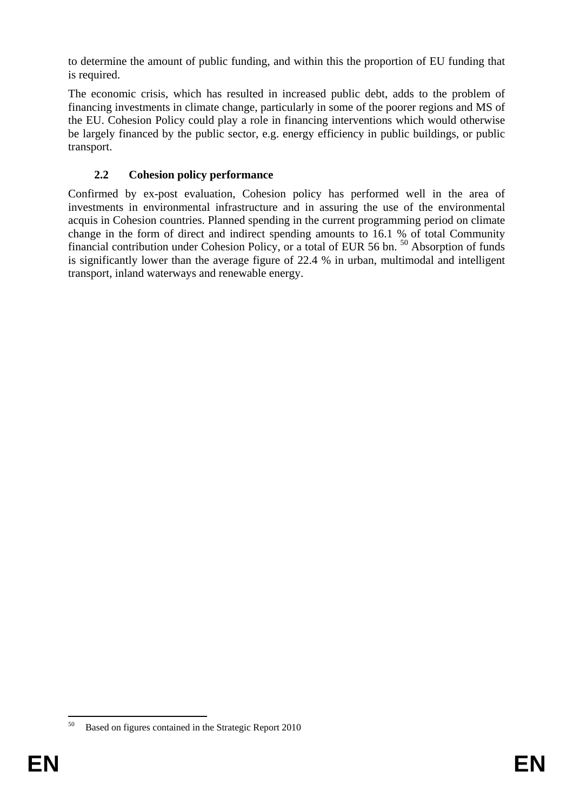to determine the amount of public funding, and within this the proportion of EU funding that is required.

The economic crisis, which has resulted in increased public debt, adds to the problem of financing investments in climate change, particularly in some of the poorer regions and MS of the EU. Cohesion Policy could play a role in financing interventions which would otherwise be largely financed by the public sector, e.g. energy efficiency in public buildings, or public transport.

# **2.2 Cohesion policy performance**

Confirmed by ex-post evaluation, Cohesion policy has performed well in the area of investments in environmental infrastructure and in assuring the use of the environmental acquis in Cohesion countries. Planned spending in the current programming period on climate change in the form of direct and indirect spending amounts to 16.1 % of total Community financial contribution under Cohesion Policy, or a total of EUR 56 bn. 50 Absorption of funds is significantly lower than the average figure of 22.4 % in urban, multimodal and intelligent transport, inland waterways and renewable energy.

<sup>50</sup> 50 Based on figures contained in the Strategic Report 2010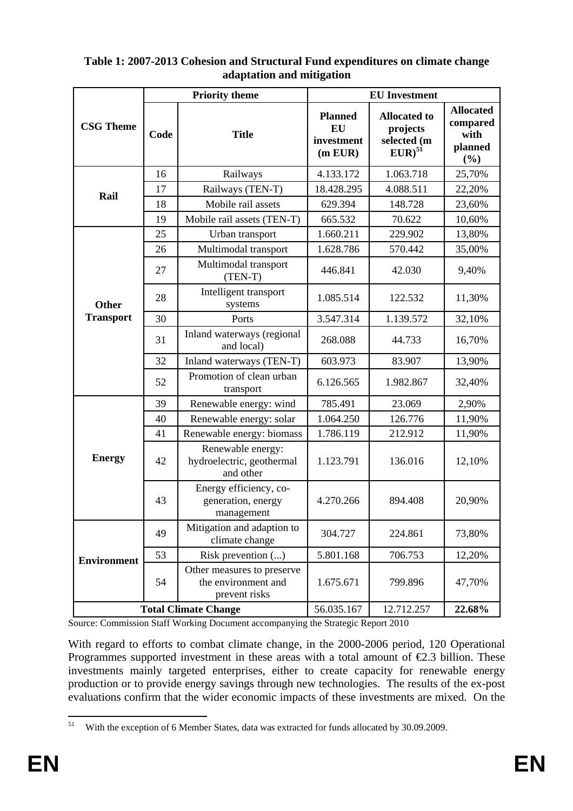|                             |      | <b>Priority theme</b>                                              | <b>EU</b> Investment                          |                                                               |                                                        |
|-----------------------------|------|--------------------------------------------------------------------|-----------------------------------------------|---------------------------------------------------------------|--------------------------------------------------------|
| <b>CSG Theme</b>            | Code | <b>Title</b>                                                       | <b>Planned</b><br>EU<br>investment<br>(m EUR) | <b>Allocated to</b><br>projects<br>selected (m<br>$EUR)^{51}$ | <b>Allocated</b><br>compared<br>with<br>planned<br>(%) |
|                             | 16   | Railways                                                           | 4.133.172                                     | 1.063.718                                                     | 25,70%                                                 |
| Rail                        | 17   | Railways (TEN-T)                                                   | 18.428.295                                    | 4.088.511                                                     | 22,20%                                                 |
|                             | 18   | Mobile rail assets                                                 | 629.394                                       | 148.728                                                       | 23,60%                                                 |
|                             | 19   | Mobile rail assets (TEN-T)                                         | 665.532                                       | 70.622                                                        | 10,60%                                                 |
|                             | 25   | Urban transport                                                    | 1.660.211                                     | 229.902                                                       | 13,80%                                                 |
|                             | 26   | Multimodal transport                                               | 1.628.786                                     | 570.442                                                       | 35,00%                                                 |
|                             | 27   | Multimodal transport<br>$(TEN-T)$                                  | 446.841                                       | 42.030                                                        | 9,40%                                                  |
| <b>Other</b>                | 28   | Intelligent transport<br>systems                                   | 1.085.514                                     | 122.532                                                       | 11,30%                                                 |
| <b>Transport</b>            | 30   | Ports                                                              | 3.547.314                                     | 1.139.572                                                     | 32,10%                                                 |
|                             | 31   | Inland waterways (regional<br>and local)                           | 268.088                                       | 44.733                                                        | 16,70%                                                 |
|                             | 32   | Inland waterways (TEN-T)                                           | 603.973                                       | 83.907                                                        | 13,90%                                                 |
|                             | 52   | Promotion of clean urban<br>transport                              | 6.126.565                                     | 1.982.867                                                     | 32,40%                                                 |
|                             | 39   | Renewable energy: wind                                             | 785.491                                       | 23.069                                                        | 2,90%                                                  |
|                             | 40   | Renewable energy: solar                                            | 1.064.250                                     | 126.776                                                       | 11,90%                                                 |
|                             | 41   | Renewable energy: biomass                                          | 1.786.119                                     | 212.912                                                       | 11,90%                                                 |
| <b>Energy</b>               | 42   | Renewable energy:<br>hydroelectric, geothermal<br>and other        | 1.123.791                                     | 136.016                                                       | 12,10%                                                 |
|                             | 43   | Energy efficiency, co-<br>generation, energy<br>management         | 4.270.266                                     | 894.408                                                       | 20,90%                                                 |
|                             | 49   | Mitigation and adaption to<br>climate change                       | 304.727                                       | 224.861                                                       | 73,80%                                                 |
| <b>Environment</b>          | 53   | Risk prevention ()                                                 | 5.801.168                                     | 706.753                                                       | 12,20%                                                 |
|                             | 54   | Other measures to preserve<br>the environment and<br>prevent risks | 1.675.671                                     | 799.896                                                       | 47,70%                                                 |
| <b>Total Climate Change</b> |      |                                                                    | 56.035.167                                    | 12.712.257                                                    | 22.68%                                                 |

# **Table 1: 2007-2013 Cohesion and Structural Fund expenditures on climate change adaptation and mitigation**

Source: Commission Staff Working Document accompanying the Strategic Report 2010

With regard to efforts to combat climate change, in the 2000-2006 period, 120 Operational Programmes supported investment in these areas with a total amount of  $\epsilon$ 2.3 billion. These investments mainly targeted enterprises, either to create capacity for renewable energy production or to provide energy savings through new technologies. The results of the ex-post evaluations confirm that the wider economic impacts of these investments are mixed. On the

<sup>51</sup> 51 With the exception of 6 Member States, data was extracted for funds allocated by 30.09.2009.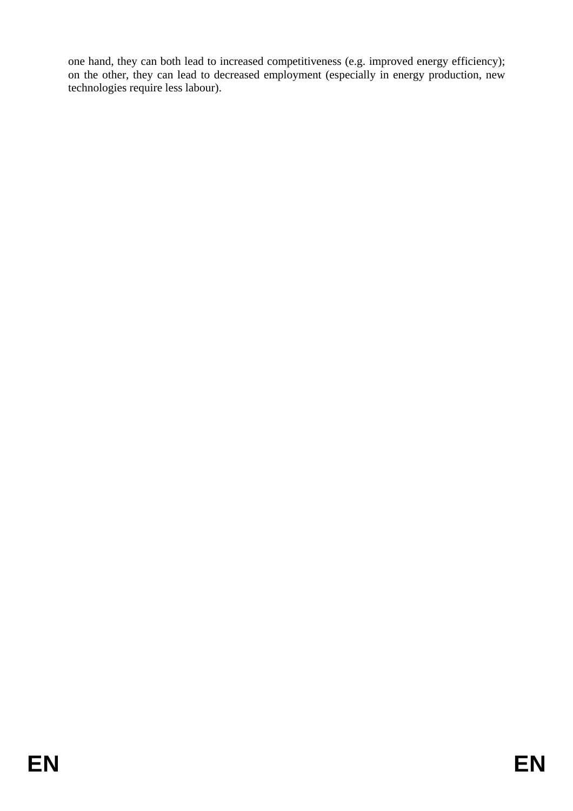one hand, they can both lead to increased competitiveness (e.g. improved energy efficiency); on the other, they can lead to decreased employment (especially in energy production, new technologies require less labour).